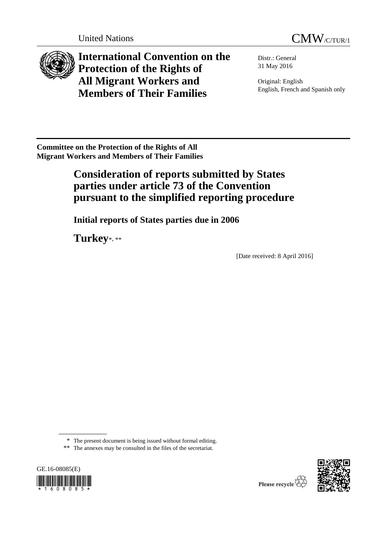



**International Convention on the Protection of the Rights of All Migrant Workers and Members of Their Families**

Distr.: General 31 May 2016

Original: English English, French and Spanish only

**Committee on the Protection of the Rights of All Migrant Workers and Members of Their Families** 

# **Consideration of reports submitted by States parties under article 73 of the Convention pursuant to the simplified reporting procedure**

**Initial reports of States parties due in 2006**

**Turkey**\*, \*\*

[Date received: 8 April 2016]

\* The present document is being issued without formal editing.

<sup>\*\*</sup> The annexes may be consulted in the files of the secretariat.



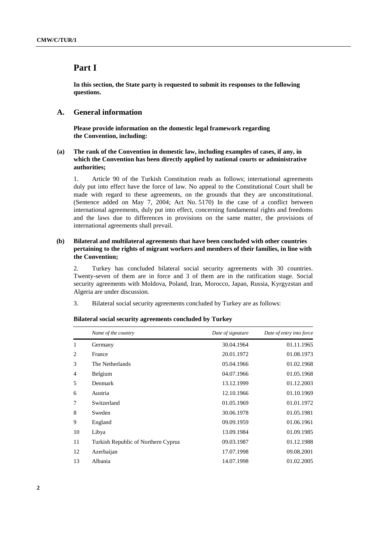# **Part I**

**In this section, the State party is requested to submit its responses to the following questions.**

# **A. General information**

**Please provide information on the domestic legal framework regarding the Convention, including:**

# **(a) The rank of the Convention in domestic law, including examples of cases, if any, in which the Convention has been directly applied by national courts or administrative authorities;**

1. Article 90 of the Turkish Constitution reads as follows; international agreements duly put into effect have the force of law. No appeal to the Constitutional Court shall be made with regard to these agreements, on the grounds that they are unconstitutional. (Sentence added on May 7, 2004; Act No. 5170) In the case of a conflict between international agreements, duly put into effect, concerning fundamental rights and freedoms and the laws due to differences in provisions on the same matter, the provisions of international agreements shall prevail.

# **(b) Bilateral and multilateral agreements that have been concluded with other countries pertaining to the rights of migrant workers and members of their families, in line with the Convention;**

2. Turkey has concluded bilateral social security agreements with 30 countries. Twenty-seven of them are in force and 3 of them are in the ratification stage. Social security agreements with Moldova, Poland, Iran, Morocco, Japan, Russia, Kyrgyzstan and Algeria are under discussion.

3. Bilateral social security agreements concluded by Turkey are as follows:

|    | Name of the country                 | Date of signature | Date of entry into force |
|----|-------------------------------------|-------------------|--------------------------|
| 1  | Germany                             | 30.04.1964        | 01.11.1965               |
| 2  | France                              | 20.01.1972        | 01.08.1973               |
| 3  | The Netherlands                     | 05.04.1966        | 01.02.1968               |
| 4  | Belgium                             | 04.07.1966        | 01.05.1968               |
| 5  | Denmark                             | 13.12.1999        | 01.12.2003               |
| 6  | Austria                             | 12.10.1966        | 01.10.1969               |
| 7  | Switzerland                         | 01.05.1969        | 01.01.1972               |
| 8  | Sweden                              | 30.06.1978        | 01.05.1981               |
| 9  | England                             | 09.09.1959        | 01.06.1961               |
| 10 | Libya                               | 13.09.1984        | 01.09.1985               |
| 11 | Turkish Republic of Northern Cyprus | 09.03.1987        | 01.12.1988               |
| 12 | Azerbaijan                          | 17.07.1998        | 09.08.2001               |
| 13 | Albania                             | 14.07.1998        | 01.02.2005               |

**Bilateral social security agreements concluded by Turkey**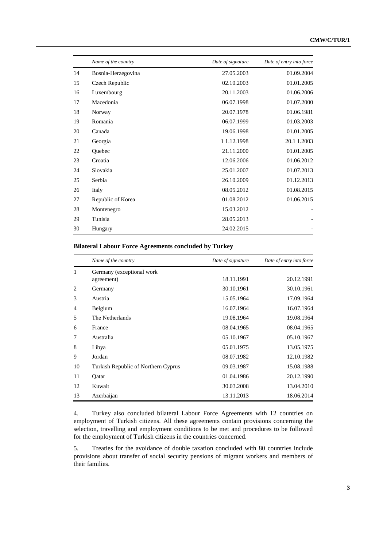|    | Name of the country | Date of signature | Date of entry into force |
|----|---------------------|-------------------|--------------------------|
| 14 | Bosnia-Herzegovina  | 27.05.2003        | 01.09.2004               |
| 15 | Czech Republic      | 02.10.2003        | 01.01.2005               |
| 16 | Luxembourg          | 20.11.2003        | 01.06.2006               |
| 17 | Macedonia           | 06.07.1998        | 01.07.2000               |
| 18 | Norway              | 20.07.1978        | 01.06.1981               |
| 19 | Romania             | 06.07.1999        | 01.03.2003               |
| 20 | Canada              | 19.06.1998        | 01.01.2005               |
| 21 | Georgia             | 1 1.12.1998       | 20.1 1.2003              |
| 22 | Quebec              | 21.11.2000        | 01.01.2005               |
| 23 | Croatia             | 12.06.2006        | 01.06.2012               |
| 24 | Slovakia            | 25.01.2007        | 01.07.2013               |
| 25 | Serbia              | 26.10.2009        | 01.12.2013               |
| 26 | Italy               | 08.05.2012        | 01.08.2015               |
| 27 | Republic of Korea   | 01.08.2012        | 01.06.2015               |
| 28 | Montenegro          | 15.03.2012        |                          |
| 29 | Tunisia             | 28.05.2013        |                          |
| 30 | Hungary             | 24.02.2015        |                          |

# **Bilateral Labour Force Agreements concluded by Turkey**

|                             | Name of the country                     | Date of signature | Date of entry into force |
|-----------------------------|-----------------------------------------|-------------------|--------------------------|
| 1                           | Germany (exceptional work<br>agreement) | 18.11.1991        | 20.12.1991               |
| $\mathcal{D}_{\mathcal{L}}$ | Germany                                 | 30.10.1961        | 30.10.1961               |
| 3                           | Austria                                 | 15.05.1964        | 17.09.1964               |
| 4                           | Belgium                                 | 16.07.1964        | 16.07.1964               |
| 5                           | The Netherlands                         | 19.08.1964        | 19.08.1964               |
| 6                           | France                                  | 08.04.1965        | 08.04.1965               |
| 7                           | Australia                               | 05.10.1967        | 05.10.1967               |
| 8                           | Libya                                   | 05.01.1975        | 13.05.1975               |
| 9                           | Jordan                                  | 08.07.1982        | 12.10.1982               |
| 10                          | Turkish Republic of Northern Cyprus     | 09.03.1987        | 15.08.1988               |
| 11                          | Qatar                                   | 01.04.1986        | 20.12.1990               |
| 12                          | Kuwait                                  | 30.03.2008        | 13.04.2010               |
| 13                          | Azerbaijan                              | 13.11.2013        | 18.06.2014               |

4. Turkey also concluded bilateral Labour Force Agreements with 12 countries on employment of Turkish citizens. All these agreements contain provisions concerning the selection, travelling and employment conditions to be met and procedures to be followed for the employment of Turkish citizens in the countries concerned.

5. Treaties for the avoidance of double taxation concluded with 80 countries include provisions about transfer of social security pensions of migrant workers and members of their families.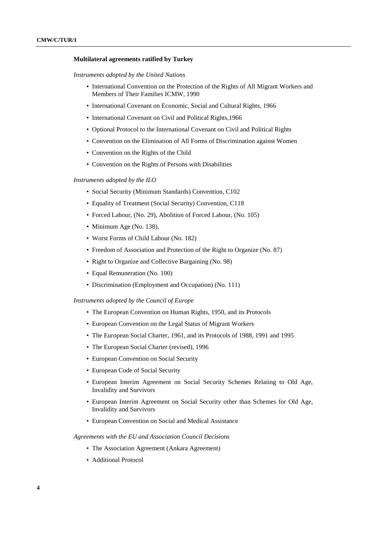#### **Multilateral agreements ratified by Turkey**

*Instruments adopted by the United Nations*

- International Convention on the Protection of the Rights of All Migrant Workers and Members of Their Families ICMW, 1990
- International Covenant on Economic, Social and Cultural Rights, 1966
- International Covenant on Civil and Political Rights,1966
- Optional Protocol to the International Covenant on Civil and Political Rights
- Convention on the Elimination of All Forms of Discrimination against Women
- Convention on the Rights of the Child
- Convention on the Rights of Persons with Disabilities

#### *Instruments adopted by the ILO*

- Social Security (Minimum Standards) Convention, C102
- Equality of Treatment (Social Security) Convention, C118
- Forced Labour, (No. 29), Abolition of Forced Labour, (No. 105)
- Minimum Age (No. 138),
- Worst Forms of Child Labour (No. 182)
- Freedom of Association and Protection of the Right to Organize (No. 87)
- Right to Organize and Collective Bargaining (No. 98)
- Equal Remuneration (No. 100)
- Discrimination (Employment and Occupation) (No. 111)

*Instruments adopted by the Council of Europe*

- The European Convention on Human Rights, 1950, and its Protocols
- European Convention on the Legal Status of Migrant Workers
- The European Social Charter, 1961, and its Protocols of 1988, 1991 and 1995
- The European Social Charter (revised), 1996
- European Convention on Social Security
- European Code of Social Security
- European Interim Agreement on Social Security Schemes Relating to Old Age, Invalidity and Survivors
- European Interim Agreement on Social Security other than Schemes for Old Age, Invalidity and Survivors
- European Convention on Social and Medical Assistance

*Agreements with the EU and Association Council Decisions*

- The Association Agreement (Ankara Agreement)
- Additional Protocol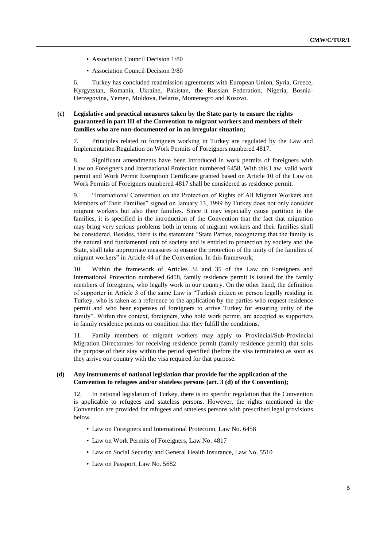- Association Council Decision 1/80
- Association Council Decision 3/80

6. Turkey has concluded readmission agreements with European Union, Syria, Greece, Kyrgyzstan, Romania, Ukraine, Pakistan, the Russian Federation, Nigeria, Bosnia-Herzegovina, Yemen, Moldova, Belarus, Montenegro and Kosovo.

# **(c) Legislative and practical measures taken by the State party to ensure the rights guaranteed in part III of the Convention to migrant workers and members of their families who are non-documented or in an irregular situation;**

7. Principles related to foreigners working in Turkey are regulated by the Law and Implementation Regulation on Work Permits of Foreigners numbered 4817.

8. Significant amendments have been introduced in work permits of foreigners with Law on Foreigners and International Protection numbered 6458. With this Law, valid work permit and Work Permit Exemption Certificate granted based on Article 10 of the Law on Work Permits of Foreigners numbered 4817 shall be considered as residence permit.

9. "International Convention on the Protection of Rights of All Migrant Workers and Members of Their Families" signed on January 13, 1999 by Turkey does not only consider migrant workers but also their families. Since it may especially cause partition in the families, it is specified in the introduction of the Convention that the fact that migration may bring very serious problems both in terms of migrant workers and their families shall be considered. Besides, there is the statement "State Parties, recognizing that the family is the natural and fundamental unit of society and is entitled to protection by society and the State, shall take appropriate measures to ensure the protection of the unity of the families of migrant workers" in Article 44 of the Convention. In this framework;

10. Within the framework of Articles 34 and 35 of the Law on Foreigners and International Protection numbered 6458, family residence permit is issued for the family members of foreigners, who legally work in our country. On the other hand, the definition of supporter in Article 3 of the same Law is "Turkish citizen or person legally residing in Turkey, who is taken as a reference to the application by the parties who request residence permit and who bear expenses of foreigners to arrive Turkey for ensuring unity of the family". Within this context, foreigners, who hold work permit, are accepted as supporters in family residence permits on condition that they fulfill the conditions.

11. Family members of migrant workers may apply to Provincial/Sub-Provincial Migration Directorates for receiving residence permit (family residence permit) that suits the purpose of their stay within the period specified (before the visa terminates) as soon as they arrive our country with the visa required for that purpose.

#### **(d) Any instruments of national legislation that provide for the application of the Convention to refugees and/or stateless persons (art. 3 (d) of the Convention);**

12. In national legislation of Turkey, there is no specific regulation that the Convention is applicable to refugees and stateless persons. However, the rights mentioned in the Convention are provided for refugees and stateless persons with prescribed legal provisions below.

- Law on Foreigners and International Protection, Law No. 6458
- Law on Work Permits of Foreigners, Law No. 4817
- Law on Social Security and General Health Insurance, Law No. 5510
- Law on Passport, Law No. 5682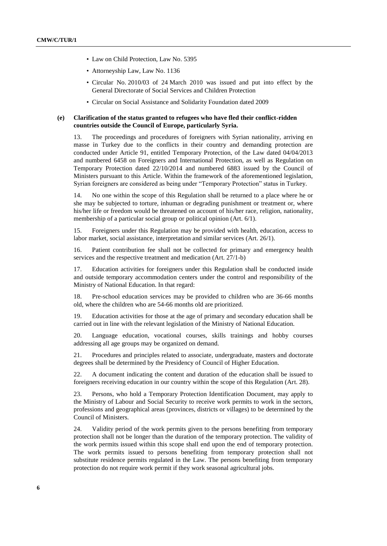- Law on Child Protection, Law No. 5395
- Attorneyship Law, Law No. 1136
- Circular No. 2010/03 of 24 March 2010 was issued and put into effect by the General Directorate of Social Services and Children Protection
- Circular on Social Assistance and Solidarity Foundation dated 2009

### **(e) Clarification of the status granted to refugees who have fled their conflict-ridden countries outside the Council of Europe, particularly Syria.**

13. The proceedings and procedures of foreigners with Syrian nationality, arriving en masse in Turkey due to the conflicts in their country and demanding protection are conducted under Article 91, entitled Temporary Protection, of the Law dated 04/04/2013 and numbered 6458 on Foreigners and International Protection, as well as Regulation on Temporary Protection dated 22/10/2014 and numbered 6883 issued by the Council of Ministers pursuant to this Article. Within the framework of the aforementioned legislation, Syrian foreigners are considered as being under "Temporary Protection" status in Turkey.

14. No one within the scope of this Regulation shall be returned to a place where he or she may be subjected to torture, inhuman or degrading punishment or treatment or, where his/her life or freedom would be threatened on account of his/her race, religion, nationality, membership of a particular social group or political opinion (Art. 6/1).

15. Foreigners under this Regulation may be provided with health, education, access to labor market, social assistance, interpretation and similar services (Art. 26/1).

16. Patient contribution fee shall not be collected for primary and emergency health services and the respective treatment and medication (Art. 27/1-b)

17. Education activities for foreigners under this Regulation shall be conducted inside and outside temporary accommodation centers under the control and responsibility of the Ministry of National Education. In that regard:

18. Pre-school education services may be provided to children who are 36-66 months old, where the children who are 54-66 months old are prioritized.

19. Education activities for those at the age of primary and secondary education shall be carried out in line with the relevant legislation of the Ministry of National Education.

20. Language education, vocational courses, skills trainings and hobby courses addressing all age groups may be organized on demand.

21. Procedures and principles related to associate, undergraduate, masters and doctorate degrees shall be determined by the Presidency of Council of Higher Education.

22. A document indicating the content and duration of the education shall be issued to foreigners receiving education in our country within the scope of this Regulation (Art. 28).

23. Persons, who hold a Temporary Protection Identification Document, may apply to the Ministry of Labour and Social Security to receive work permits to work in the sectors, professions and geographical areas (provinces, districts or villages) to be determined by the Council of Ministers.

24. Validity period of the work permits given to the persons benefiting from temporary protection shall not be longer than the duration of the temporary protection. The validity of the work permits issued within this scope shall end upon the end of temporary protection. The work permits issued to persons benefiting from temporary protection shall not substitute residence permits regulated in the Law. The persons benefiting from temporary protection do not require work permit if they work seasonal agricultural jobs.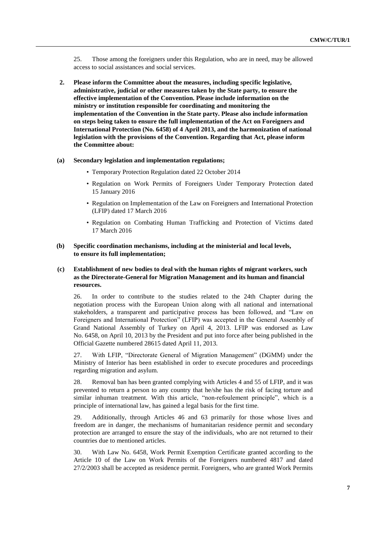25. Those among the foreigners under this Regulation, who are in need, may be allowed access to social assistances and social services.

**2. Please inform the Committee about the measures, including specific legislative, administrative, judicial or other measures taken by the State party, to ensure the effective implementation of the Convention. Please include information on the ministry or institution responsible for coordinating and monitoring the implementation of the Convention in the State party. Please also include information on steps being taken to ensure the full implementation of the Act on Foreigners and International Protection (No. 6458) of 4 April 2013, and the harmonization of national legislation with the provisions of the Convention. Regarding that Act, please inform the Committee about:**

### **(a) Secondary legislation and implementation regulations;**

- Temporary Protection Regulation dated 22 October 2014
- Regulation on Work Permits of Foreigners Under Temporary Protection dated 15 January 2016
- Regulation on Implementation of the Law on Foreigners and International Protection (LFIP) dated 17 March 2016
- Regulation on Combating Human Trafficking and Protection of Victims dated 17 March 2016

# **(b) Specific coordination mechanisms, including at the ministerial and local levels, to ensure its full implementation;**

# **(c) Establishment of new bodies to deal with the human rights of migrant workers, such as the Directorate-General for Migration Management and its human and financial resources.**

26. In order to contribute to the studies related to the 24th Chapter during the negotiation process with the European Union along with all national and international stakeholders, a transparent and participative process has been followed, and "Law on Foreigners and International Protection" (LFIP) was accepted in the General Assembly of Grand National Assembly of Turkey on April 4, 2013. LFIP was endorsed as Law No. 6458, on April 10, 2013 by the President and put into force after being published in the Official Gazette numbered 28615 dated April 11, 2013.

27. With LFIP, "Directorate General of Migration Management" (DGMM) under the Ministry of Interior has been established in order to execute procedures and proceedings regarding migration and asylum.

28. Removal ban has been granted complying with Articles 4 and 55 of LFIP, and it was prevented to return a person to any country that he/she has the risk of facing torture and similar inhuman treatment. With this article, "non-refoulement principle", which is a principle of international law, has gained a legal basis for the first time.

29. Additionally, through Articles 46 and 63 primarily for those whose lives and freedom are in danger, the mechanisms of humanitarian residence permit and secondary protection are arranged to ensure the stay of the individuals, who are not returned to their countries due to mentioned articles.

30. With Law No. 6458, Work Permit Exemption Certificate granted according to the Article 10 of the Law on Work Permits of the Foreigners numbered 4817 and dated 27/2/2003 shall be accepted as residence permit. Foreigners, who are granted Work Permits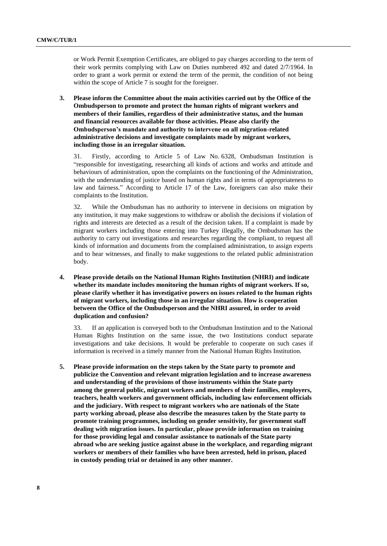or Work Permit Exemption Certificates, are obliged to pay charges according to the term of their work permits complying with Law on Duties numbered 492 and dated 2/7/1964. In order to grant a work permit or extend the term of the permit, the condition of not being within the scope of Article 7 is sought for the foreigner.

**3. Please inform the Committee about the main activities carried out by the Office of the Ombudsperson to promote and protect the human rights of migrant workers and members of their families, regardless of their administrative status, and the human and financial resources available for those activities. Please also clarify the Ombudsperson's mandate and authority to intervene on all migration-related administrative decisions and investigate complaints made by migrant workers, including those in an irregular situation.**

31. Firstly, according to Article 5 of Law No. 6328, Ombudsman Institution is "responsible for investigating, researching all kinds of actions and works and attitude and behaviours of administration, upon the complaints on the functioning of the Administration, with the understanding of justice based on human rights and in terms of appropriateness to law and fairness." According to Article 17 of the Law, foreigners can also make their complaints to the Institution.

32. While the Ombudsman has no authority to intervene in decisions on migration by any institution, it may make suggestions to withdraw or abolish the decisions if violation of rights and interests are detected as a result of the decision taken. If a complaint is made by migrant workers including those entering into Turkey illegally, the Ombudsman has the authority to carry out investigations and researches regarding the compliant, to request all kinds of information and documents from the complained administration, to assign experts and to hear witnesses, and finally to make suggestions to the related public administration body.

**4. Please provide details on the National Human Rights Institution (NHRI) and indicate whether its mandate includes monitoring the human rights of migrant workers. If so, please clarify whether it has investigative powers on issues related to the human rights of migrant workers, including those in an irregular situation. How is cooperation between the Office of the Ombudsperson and the NHRI assured, in order to avoid duplication and confusion?**

33. If an application is conveyed both to the Ombudsman Institution and to the National Human Rights Institution on the same issue, the two Institutions conduct separate investigations and take decisions. It would be preferable to cooperate on such cases if information is received in a timely manner from the National Human Rights Institution.

**5. Please provide information on the steps taken by the State party to promote and publicize the Convention and relevant migration legislation and to increase awareness and understanding of the provisions of those instruments within the State party among the general public, migrant workers and members of their families, employers, teachers, health workers and government officials, including law enforcement officials and the judiciary. With respect to migrant workers who are nationals of the State party working abroad, please also describe the measures taken by the State party to promote training programmes, including on gender sensitivity, for government staff dealing with migration issues. In particular, please provide information on training for those providing legal and consular assistance to nationals of the State party abroad who are seeking justice against abuse in the workplace, and regarding migrant workers or members of their families who have been arrested, held in prison, placed in custody pending trial or detained in any other manner.**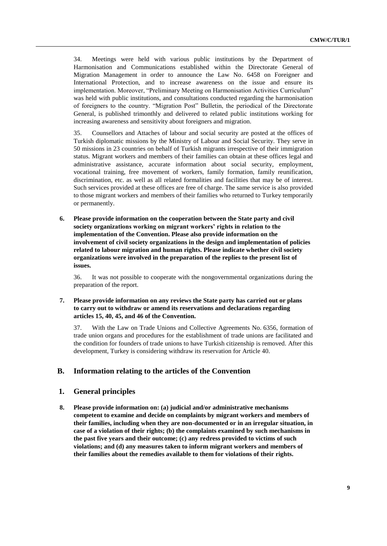34. Meetings were held with various public institutions by the Department of Harmonisation and Communications established within the Directorate General of Migration Management in order to announce the Law No. 6458 on Foreigner and International Protection, and to increase awareness on the issue and ensure its implementation. Moreover, "Preliminary Meeting on Harmonisation Activities Curriculum" was held with public institutions, and consultations conducted regarding the harmonisation of foreigners to the country. "Migration Post" Bulletin, the periodical of the Directorate General, is published trimonthly and delivered to related public institutions working for increasing awareness and sensitivity about foreigners and migration.

35. Counsellors and Attaches of labour and social security are posted at the offices of Turkish diplomatic missions by the Ministry of Labour and Social Security. They serve in 50 missions in 23 countries on behalf of Turkish migrants irrespective of their immigration status. Migrant workers and members of their families can obtain at these offices legal and administrative assistance, accurate information about social security, employment, vocational training, free movement of workers, family formation, family reunification, discrimination, etc. as well as all related formalities and facilities that may be of interest. Such services provided at these offices are free of charge. The same service is also provided to those migrant workers and members of their families who returned to Turkey temporarily or permanently.

**6. Please provide information on the cooperation between the State party and civil society organizations working on migrant workers' rights in relation to the implementation of the Convention. Please also provide information on the involvement of civil society organizations in the design and implementation of policies related to labour migration and human rights. Please indicate whether civil society organizations were involved in the preparation of the replies to the present list of issues.**

36. It was not possible to cooperate with the nongovernmental organizations during the preparation of the report.

# **7. Please provide information on any reviews the State party has carried out or plans to carry out to withdraw or amend its reservations and declarations regarding articles 15, 40, 45, and 46 of the Convention.**

37. With the Law on Trade Unions and Collective Agreements No. 6356, formation of trade union organs and procedures for the establishment of trade unions are facilitated and the condition for founders of trade unions to have Turkish citizenship is removed. After this development, Turkey is considering withdraw its reservation for Article 40.

### **B. Information relating to the articles of the Convention**

### **1. General principles**

**8. Please provide information on: (a) judicial and/or administrative mechanisms competent to examine and decide on complaints by migrant workers and members of their families, including when they are non-documented or in an irregular situation, in case of a violation of their rights; (b) the complaints examined by such mechanisms in the past five years and their outcome; (c) any redress provided to victims of such violations; and (d) any measures taken to inform migrant workers and members of their families about the remedies available to them for violations of their rights.**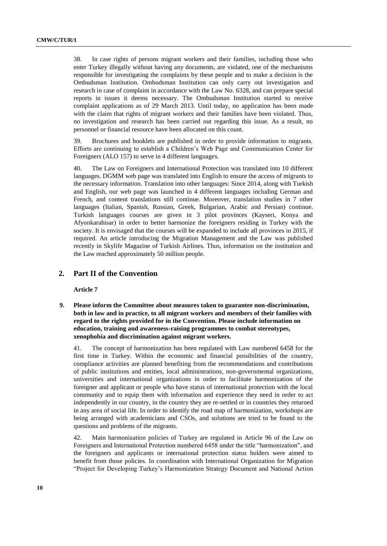38. In case rights of persons migrant workers and their families, including those who enter Turkey illegally without having any documents, are violated, one of the mechanisms responsible for investigating the complaints by these people and to make a decision is the Ombudsman Institution. Ombudsman Institution can only carry out investigation and research in case of complaint in accordance with the Law No. 6328, and can prepare special reports in issues it deems necessary. The Ombudsman Institution started to receive complaint applications as of 29 March 2013. Until today, no application has been made with the claim that rights of migrant workers and their families have been violated. Thus, no investigation and research has been carried out regarding this issue. As a result, no personnel or financial resource have been allocated on this count.

39. Brochures and booklets are published in order to provide information to migrants. Efforts are continuing to establish a Children's Web Page and Communication Center for Foreigners (ALO 157) to serve in 4 different languages.

40. The Law on Foreigners and International Protection was translated into 10 different languages. DGMM web page was translated into English to ensure the access of migrants to the necessary information. Translation into other languages: Since 2014, along with Turkish and English, our web page was launched in 4 different languages including German and French, and content translations still continue. Moreover, translation studies in 7 other languages (Italian, Spanish, Russian, Greek, Bulgarian, Arabic and Persian) continue. Turkish languages courses are given in 3 pilot provinces (Kayseri, Konya and Afyonkarahisar) in order to better harmonize the foreigners residing in Turkey with the society. It is envisaged that the courses will be expanded to include all provinces in 2015, if required. An article introducing the Migration Management and the Law was published recently in Skylife Magazine of Turkish Airlines. Thus, information on the institution and the Law reached approximately 50 million people.

# **2. Part II of the Convention**

**Article 7** 

**9. Please inform the Committee about measures taken to guarantee non-discrimination, both in law and in practice, to all migrant workers and members of their families with regard to the rights provided for in the Convention. Please include information on education, training and awareness-raising programmes to combat stereotypes, xenophobia and discrimination against migrant workers.**

41. The concept of harmonization has been regulated with Law numbered 6458 for the first time in Turkey. Within the economic and financial possibilities of the country, compliance activities are planned benefiting from the recommendations and contributions of public institutions and entities, local administrations, non-governmental organizations, universities and international organizations in order to facilitate harmonization of the foreigner and applicant or people who have status of international protection with the local community and to equip them with information and experience they need in order to act independently in our country, in the country they are re-settled or in countries they returned in any area of social life. In order to identify the road map of harmonization, workshops are being arranged with academicians and CSOs, and solutions are tried to be found to the questions and problems of the migrants.

42. Main harmonization policies of Turkey are regulated in Article 96 of the Law on Foreigners and International Protection numbered 6458 under the title "harmonization", and the foreigners and applicants or international protection status holders were aimed to benefit from those policies. In coordination with International Organization for Migration "Project for Developing Turkey's Harmonization Strategy Document and National Action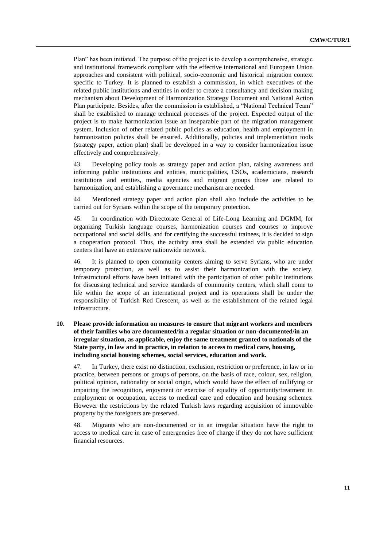Plan" has been initiated. The purpose of the project is to develop a comprehensive, strategic and institutional framework compliant with the effective international and European Union approaches and consistent with political, socio-economic and historical migration context specific to Turkey. It is planned to establish a commission, in which executives of the related public institutions and entities in order to create a consultancy and decision making mechanism about Development of Harmonization Strategy Document and National Action Plan participate. Besides, after the commission is established, a "National Technical Team" shall be established to manage technical processes of the project. Expected output of the project is to make harmonization issue an inseparable part of the migration management system. Inclusion of other related public policies as education, health and employment in harmonization policies shall be ensured. Additionally, policies and implementation tools (strategy paper, action plan) shall be developed in a way to consider harmonization issue effectively and comprehensively.

43. Developing policy tools as strategy paper and action plan, raising awareness and informing public institutions and entities, municipalities, CSOs, academicians, research institutions and entities, media agencies and migrant groups those are related to harmonization, and establishing a governance mechanism are needed.

44. Mentioned strategy paper and action plan shall also include the activities to be carried out for Syrians within the scope of the temporary protection.

45. In coordination with Directorate General of Life-Long Learning and DGMM, for organizing Turkish language courses, harmonization courses and courses to improve occupational and social skills, and for certifying the successful trainees, it is decided to sign a cooperation protocol. Thus, the activity area shall be extended via public education centers that have an extensive nationwide network.

46. It is planned to open community centers aiming to serve Syrians, who are under temporary protection, as well as to assist their harmonization with the society. Infrastructural efforts have been initiated with the participation of other public institutions for discussing technical and service standards of community centers, which shall come to life within the scope of an international project and its operations shall be under the responsibility of Turkish Red Crescent, as well as the establishment of the related legal infrastructure.

# **10. Please provide information on measures to ensure that migrant workers and members of their families who are documented/in a regular situation or non-documented/in an irregular situation, as applicable, enjoy the same treatment granted to nationals of the State party, in law and in practice, in relation to access to medical care, housing, including social housing schemes, social services, education and work.**

47. In Turkey, there exist no distinction, exclusion, restriction or preference, in law or in practice, between persons or groups of persons, on the basis of race, colour, sex, religion, political opinion, nationality or social origin, which would have the effect of nullifying or impairing the recognition, enjoyment or exercise of equality of opportunity/treatment in employment or occupation, access to medical care and education and housing schemes. However the restrictions by the related Turkish laws regarding acquisition of immovable property by the foreigners are preserved.

48. Migrants who are non-documented or in an irregular situation have the right to access to medical care in case of emergencies free of charge if they do not have sufficient financial resources.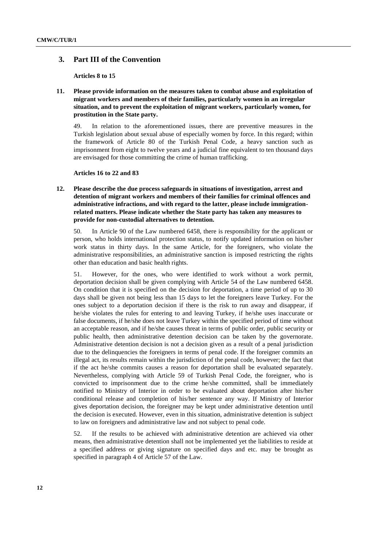# **3. Part III of the Convention**

**Articles 8 to 15**

**11. Please provide information on the measures taken to combat abuse and exploitation of migrant workers and members of their families, particularly women in an irregular situation, and to prevent the exploitation of migrant workers, particularly women, for prostitution in the State party.**

49. In relation to the aforementioned issues, there are preventive measures in the Turkish legislation about sexual abuse of especially women by force. In this regard; within the framework of Article 80 of the Turkish Penal Code, a heavy sanction such as imprisonment from eight to twelve years and a judicial fine equivalent to ten thousand days are envisaged for those committing the crime of human trafficking.

#### **Articles 16 to 22 and 83**

**12. Please describe the due process safeguards in situations of investigation, arrest and detention of migrant workers and members of their families for criminal offences and administrative infractions, and with regard to the latter, please include immigrationrelated matters. Please indicate whether the State party has taken any measures to provide for non-custodial alternatives to detention.**

50. In Article 90 of the Law numbered 6458, there is responsibility for the applicant or person, who holds international protection status, to notify updated information on his/her work status in thirty days. In the same Article, for the foreigners, who violate the administrative responsibilities, an administrative sanction is imposed restricting the rights other than education and basic health rights.

51. However, for the ones, who were identified to work without a work permit, deportation decision shall be given complying with Article 54 of the Law numbered 6458. On condition that it is specified on the decision for deportation, a time period of up to 30 days shall be given not being less than 15 days to let the foreigners leave Turkey. For the ones subject to a deportation decision if there is the risk to run away and disappear, if he/she violates the rules for entering to and leaving Turkey, if he/she uses inaccurate or false documents, if he/she does not leave Turkey within the specified period of time without an acceptable reason, and if he/she causes threat in terms of public order, public security or public health, then administrative detention decision can be taken by the governorate. Administrative detention decision is not a decision given as a result of a penal jurisdiction due to the delinquencies the foreigners in terms of penal code. If the foreigner commits an illegal act, its results remain within the jurisdiction of the penal code, however; the fact that if the act he/she commits causes a reason for deportation shall be evaluated separately. Nevertheless, complying with Article 59 of Turkish Penal Code, the foreigner, who is convicted to imprisonment due to the crime he/she committed, shall be immediately notified to Ministry of Interior in order to be evaluated about deportation after his/her conditional release and completion of his/her sentence any way. If Ministry of Interior gives deportation decision, the foreigner may be kept under administrative detention until the decision is executed. However, even in this situation, administrative detention is subject to law on foreigners and administrative law and not subject to penal code.

52. If the results to be achieved with administrative detention are achieved via other means, then administrative detention shall not be implemented yet the liabilities to reside at a specified address or giving signature on specified days and etc. may be brought as specified in paragraph 4 of Article 57 of the Law.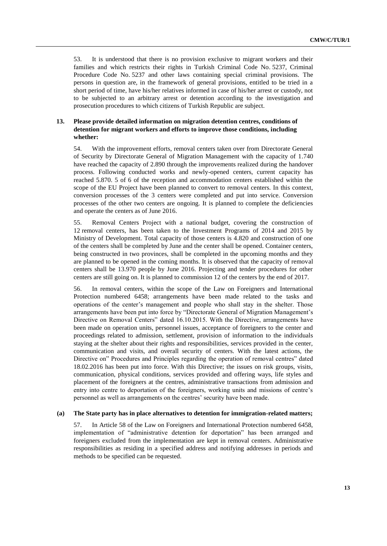53. It is understood that there is no provision exclusive to migrant workers and their families and which restricts their rights in Turkish Criminal Code No. 5237, Criminal Procedure Code No. 5237 and other laws containing special criminal provisions. The persons in question are, in the framework of general provisions, entitled to be tried in a short period of time, have his/her relatives informed in case of his/her arrest or custody, not to be subjected to an arbitrary arrest or detention according to the investigation and prosecution procedures to which citizens of Turkish Republic are subject.

# **13. Please provide detailed information on migration detention centres, conditions of detention for migrant workers and efforts to improve those conditions, including whether:**

54. With the improvement efforts, removal centers taken over from Directorate General of Security by Directorate General of Migration Management with the capacity of 1.740 have reached the capacity of 2.890 through the improvements realized during the handover process. Following conducted works and newly-opened centers, current capacity has reached 5.870. 5 of 6 of the reception and accommodation centers established within the scope of the EU Project have been planned to convert to removal centers. In this context, conversion processes of the 3 centers were completed and put into service. Conversion processes of the other two centers are ongoing. It is planned to complete the deficiencies and operate the centers as of June 2016.

55. Removal Centers Project with a national budget, covering the construction of 12 removal centers, has been taken to the Investment Programs of 2014 and 2015 by Ministry of Development. Total capacity of those centers is 4.820 and construction of one of the centers shall be completed by June and the center shall be opened. Container centers, being constructed in two provinces, shall be completed in the upcoming months and they are planned to be opened in the coming months. It is observed that the capacity of removal centers shall be 13.970 people by June 2016. Projecting and tender procedures for other centers are still going on. It is planned to commission 12 of the centers by the end of 2017.

56. In removal centers, within the scope of the Law on Foreigners and International Protection numbered 6458; arrangements have been made related to the tasks and operations of the center's management and people who shall stay in the shelter. Those arrangements have been put into force by "Directorate General of Migration Management's Directive on Removal Centers" dated 16.10.2015. With the Directive, arrangements have been made on operation units, personnel issues, acceptance of foreigners to the center and proceedings related to admission, settlement, provision of information to the individuals staying at the shelter about their rights and responsibilities, services provided in the center, communication and visits, and overall security of centers. With the latest actions, the Directive on" Procedures and Principles regarding the operation of removal centres" dated 18.02.2016 has been put into force. With this Directive; the issues on risk groups, visits, communication, physical conditions, services provided and offering ways, life styles and placement of the foreigners at the centres, administrative transactions from admission and entry into centre to deportation of the foreigners, working units and missions of centre's personnel as well as arrangements on the centres' security have been made.

#### **(a) The State party has in place alternatives to detention for immigration-related matters;**

57. In Article 58 of the Law on Foreigners and International Protection numbered 6458, implementation of "administrative detention for deportation" has been arranged and foreigners excluded from the implementation are kept in removal centers. Administrative responsibilities as residing in a specified address and notifying addresses in periods and methods to be specified can be requested.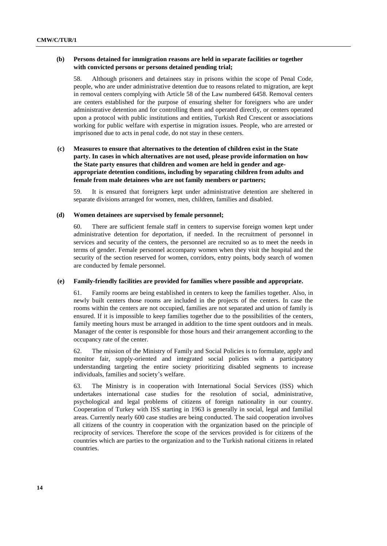# **(b) Persons detained for immigration reasons are held in separate facilities or together with convicted persons or persons detained pending trial;**

58. Although prisoners and detainees stay in prisons within the scope of Penal Code, people, who are under administrative detention due to reasons related to migration, are kept in removal centers complying with Article 58 of the Law numbered 6458. Removal centers are centers established for the purpose of ensuring shelter for foreigners who are under administrative detention and for controlling them and operated directly, or centers operated upon a protocol with public institutions and entities, Turkish Red Crescent or associations working for public welfare with expertise in migration issues. People, who are arrested or imprisoned due to acts in penal code, do not stay in these centers.

# **(c) Measures to ensure that alternatives to the detention of children exist in the State party. In cases in which alternatives are not used, please provide information on how the State party ensures that children and women are held in gender and ageappropriate detention conditions, including by separating children from adults and female from male detainees who are not family members or partners;**

59. It is ensured that foreigners kept under administrative detention are sheltered in separate divisions arranged for women, men, children, families and disabled.

#### **(d) Women detainees are supervised by female personnel;**

60. There are sufficient female staff in centers to supervise foreign women kept under administrative detention for deportation, if needed. In the recruitment of personnel in services and security of the centers, the personnel are recruited so as to meet the needs in terms of gender. Female personnel accompany women when they visit the hospital and the security of the section reserved for women, corridors, entry points, body search of women are conducted by female personnel.

### **(e) Family-friendly facilities are provided for families where possible and appropriate.**

61. Family rooms are being established in centers to keep the families together. Also, in newly built centers those rooms are included in the projects of the centers. In case the rooms within the centers are not occupied, families are not separated and union of family is ensured. If it is impossible to keep families together due to the possibilities of the centers, family meeting hours must be arranged in addition to the time spent outdoors and in meals. Manager of the center is responsible for those hours and their arrangement according to the occupancy rate of the center.

62. The mission of the Ministry of Family and Social Policies is to formulate, apply and monitor fair, supply-oriented and integrated social policies with a participatory understanding targeting the entire society prioritizing disabled segments to increase individuals, families and society's welfare.

63. The Ministry is in cooperation with International Social Services (ISS) which undertakes international case studies for the resolution of social, administrative, psychological and legal problems of citizens of foreign nationality in our country. Cooperation of Turkey with ISS starting in 1963 is generally in social, legal and familial areas. Currently nearly 600 case studies are being conducted. The said cooperation involves all citizens of the country in cooperation with the organization based on the principle of reciprocity of services. Therefore the scope of the services provided is for citizens of the countries which are parties to the organization and to the Turkish national citizens in related countries.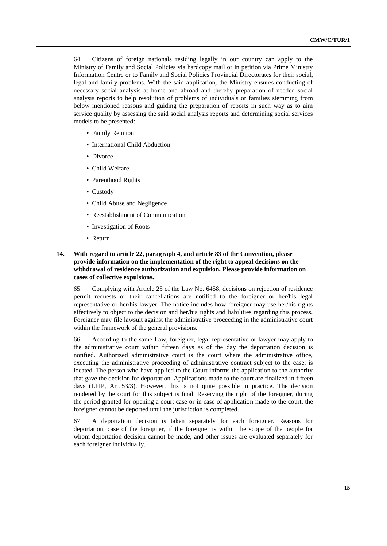64. Citizens of foreign nationals residing legally in our country can apply to the Ministry of Family and Social Policies via hardcopy mail or in petition via Prime Ministry Information Centre or to Family and Social Policies Provincial Directorates for their social, legal and family problems. With the said application, the Ministry ensures conducting of necessary social analysis at home and abroad and thereby preparation of needed social analysis reports to help resolution of problems of individuals or families stemming from below mentioned reasons and guiding the preparation of reports in such way as to aim service quality by assessing the said social analysis reports and determining social services models to be presented:

- Family Reunion
- International Child Abduction
- Divorce
- Child Welfare
- Parenthood Rights
- Custody
- Child Abuse and Negligence
- Reestablishment of Communication
- Investigation of Roots
- Return

# **14. With regard to article 22, paragraph 4, and article 83 of the Convention, please provide information on the implementation of the right to appeal decisions on the withdrawal of residence authorization and expulsion. Please provide information on cases of collective expulsions.**

65. Complying with Article 25 of the Law No. 6458, decisions on rejection of residence permit requests or their cancellations are notified to the foreigner or her/his legal representative or her/his lawyer. The notice includes how foreigner may use her/his rights effectively to object to the decision and her/his rights and liabilities regarding this process. Foreigner may file lawsuit against the administrative proceeding in the administrative court within the framework of the general provisions.

66. According to the same Law, foreigner, legal representative or lawyer may apply to the administrative court within fifteen days as of the day the deportation decision is notified. Authorized administrative court is the court where the administrative office, executing the administrative proceeding of administrative contract subject to the case, is located. The person who have applied to the Court informs the application to the authority that gave the decision for deportation. Applications made to the court are finalized in fifteen days (LFIP, Art. 53/3). However, this is not quite possible in practice. The decision rendered by the court for this subject is final. Reserving the right of the foreigner, during the period granted for opening a court case or in case of application made to the court, the foreigner cannot be deported until the jurisdiction is completed.

67. A deportation decision is taken separately for each foreigner. Reasons for deportation, case of the foreigner, if the foreigner is within the scope of the people for whom deportation decision cannot be made, and other issues are evaluated separately for each foreigner individually.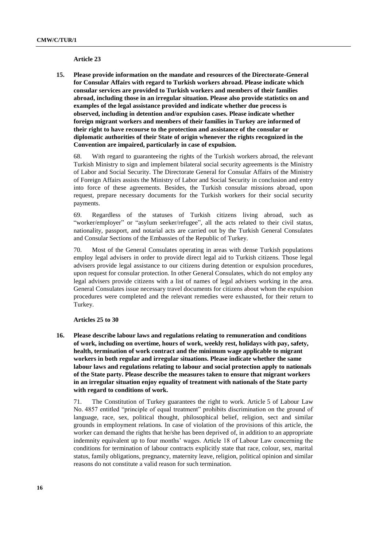#### **Article 23**

**15. Please provide information on the mandate and resources of the Directorate-General for Consular Affairs with regard to Turkish workers abroad. Please indicate which consular services are provided to Turkish workers and members of their families abroad, including those in an irregular situation. Please also provide statistics on and examples of the legal assistance provided and indicate whether due process is observed, including in detention and/or expulsion cases. Please indicate whether foreign migrant workers and members of their families in Turkey are informed of their right to have recourse to the protection and assistance of the consular or diplomatic authorities of their State of origin whenever the rights recognized in the Convention are impaired, particularly in case of expulsion.**

68. With regard to guaranteeing the rights of the Turkish workers abroad, the relevant Turkish Ministry to sign and implement bilateral social security agreements is the Ministry of Labor and Social Security. The Directorate General for Consular Affairs of the Ministry of Foreign Affairs assists the Ministry of Labor and Social Security in conclusion and entry into force of these agreements. Besides, the Turkish consular missions abroad, upon request, prepare necessary documents for the Turkish workers for their social security payments.

69. Regardless of the statuses of Turkish citizens living abroad, such as "worker/employer" or "asylum seeker/refugee", all the acts related to their civil status, nationality, passport, and notarial acts are carried out by the Turkish General Consulates and Consular Sections of the Embassies of the Republic of Turkey.

70. Most of the General Consulates operating in areas with dense Turkish populations employ legal advisers in order to provide direct legal aid to Turkish citizens. Those legal advisers provide legal assistance to our citizens during detention or expulsion procedures, upon request for consular protection. In other General Consulates, which do not employ any legal advisers provide citizens with a list of names of legal advisers working in the area. General Consulates issue necessary travel documents for citizens about whom the expulsion procedures were completed and the relevant remedies were exhausted, for their return to Turkey.

**Articles 25 to 30**

**16. Please describe labour laws and regulations relating to remuneration and conditions of work, including on overtime, hours of work, weekly rest, holidays with pay, safety, health, termination of work contract and the minimum wage applicable to migrant workers in both regular and irregular situations. Please indicate whether the same labour laws and regulations relating to labour and social protection apply to nationals of the State party. Please describe the measures taken to ensure that migrant workers in an irregular situation enjoy equality of treatment with nationals of the State party with regard to conditions of work.**

71. The Constitution of Turkey guarantees the right to work. Article 5 of Labour Law No. 4857 entitled "principle of equal treatment" prohibits discrimination on the ground of language, race, sex, political thought, philosophical belief, religion, sect and similar grounds in employment relations. In case of violation of the provisions of this article, the worker can demand the rights that he/she has been deprived of, in addition to an appropriate indemnity equivalent up to four months' wages. Article 18 of Labour Law concerning the conditions for termination of labour contracts explicitly state that race, colour, sex, marital status, family obligations, pregnancy, maternity leave, religion, political opinion and similar reasons do not constitute a valid reason for such termination.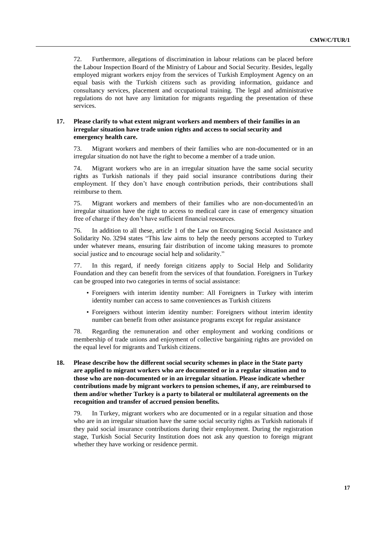72. Furthermore, allegations of discrimination in labour relations can be placed before the Labour Inspection Board of the Ministry of Labour and Social Security. Besides, legally employed migrant workers enjoy from the services of Turkish Employment Agency on an equal basis with the Turkish citizens such as providing information, guidance and consultancy services, placement and occupational training. The legal and administrative regulations do not have any limitation for migrants regarding the presentation of these services.

### **17. Please clarify to what extent migrant workers and members of their families in an irregular situation have trade union rights and access to social security and emergency health care.**

73. Migrant workers and members of their families who are non-documented or in an irregular situation do not have the right to become a member of a trade union.

74. Migrant workers who are in an irregular situation have the same social security rights as Turkish nationals if they paid social insurance contributions during their employment. If they don't have enough contribution periods, their contributions shall reimburse to them.

75. Migrant workers and members of their families who are non-documented/in an irregular situation have the right to access to medical care in case of emergency situation free of charge if they don't have sufficient financial resources.

76. In addition to all these, article 1 of the Law on Encouraging Social Assistance and Solidarity No. 3294 states "This law aims to help the needy persons accepted to Turkey under whatever means, ensuring fair distribution of income taking measures to promote social justice and to encourage social help and solidarity."

77. In this regard, if needy foreign citizens apply to Social Help and Solidarity Foundation and they can benefit from the services of that foundation. Foreigners in Turkey can be grouped into two categories in terms of social assistance:

- Foreigners with interim identity number: All Foreigners in Turkey with interim identity number can access to same conveniences as Turkish citizens
- Foreigners without interim identity number: Foreigners without interim identity number can benefit from other assistance programs except for regular assistance

78. Regarding the remuneration and other employment and working conditions or membership of trade unions and enjoyment of collective bargaining rights are provided on the equal level for migrants and Turkish citizens.

**18. Please describe how the different social security schemes in place in the State party are applied to migrant workers who are documented or in a regular situation and to those who are non-documented or in an irregular situation. Please indicate whether contributions made by migrant workers to pension schemes, if any, are reimbursed to them and/or whether Turkey is a party to bilateral or multilateral agreements on the recognition and transfer of accrued pension benefits.**

79. In Turkey, migrant workers who are documented or in a regular situation and those who are in an irregular situation have the same social security rights as Turkish nationals if they paid social insurance contributions during their employment. During the registration stage, Turkish Social Security Institution does not ask any question to foreign migrant whether they have working or residence permit.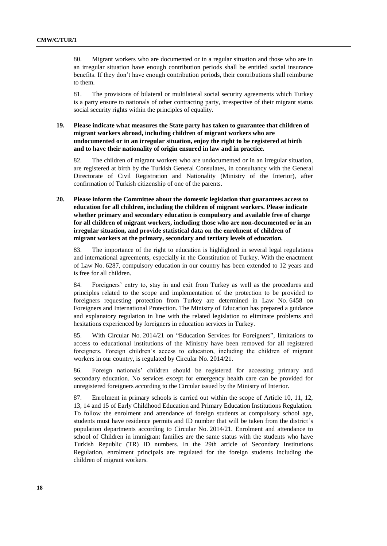80. Migrant workers who are documented or in a regular situation and those who are in an irregular situation have enough contribution periods shall be entitled social insurance benefits. If they don't have enough contribution periods, their contributions shall reimburse to them.

81. The provisions of bilateral or multilateral social security agreements which Turkey is a party ensure to nationals of other contracting party, irrespective of their migrant status social security rights within the principles of equality.

**19. Please indicate what measures the State party has taken to guarantee that children of migrant workers abroad, including children of migrant workers who are undocumented or in an irregular situation, enjoy the right to be registered at birth and to have their nationality of origin ensured in law and in practice.**

82. The children of migrant workers who are undocumented or in an irregular situation, are registered at birth by the Turkish General Consulates, in consultancy with the General Directorate of Civil Registration and Nationality (Ministry of the Interior), after confirmation of Turkish citizenship of one of the parents.

**20. Please inform the Committee about the domestic legislation that guarantees access to education for all children, including the children of migrant workers. Please indicate whether primary and secondary education is compulsory and available free of charge for all children of migrant workers, including those who are non-documented or in an irregular situation, and provide statistical data on the enrolment of children of migrant workers at the primary, secondary and tertiary levels of education.** 

83. The importance of the right to education is highlighted in several legal regulations and international agreements, especially in the Constitution of Turkey. With the enactment of Law No. 6287, compulsory education in our country has been extended to 12 years and is free for all children.

84. Foreigners' entry to, stay in and exit from Turkey as well as the procedures and principles related to the scope and implementation of the protection to be provided to foreigners requesting protection from Turkey are determined in Law No. 6458 on Foreigners and International Protection. The Ministry of Education has prepared a guidance and explanatory regulation in line with the related legislation to eliminate problems and hesitations experienced by foreigners in education services in Turkey.

85. With Circular No. 2014/21 on "Education Services for Foreigners", limitations to access to educational institutions of the Ministry have been removed for all registered foreigners. Foreign children's access to education, including the children of migrant workers in our country, is regulated by Circular No. 2014/21.

86. Foreign nationals' children should be registered for accessing primary and secondary education. No services except for emergency health care can be provided for unregistered foreigners according to the Circular issued by the Ministry of Interior.

87. Enrolment in primary schools is carried out within the scope of Article 10, 11, 12, 13, 14 and 15 of Early Childhood Education and Primary Education Institutions Regulation. To follow the enrolment and attendance of foreign students at compulsory school age, students must have residence permits and ID number that will be taken from the district's population departments according to Circular No. 2014/21. Enrolment and attendance to school of Children in immigrant families are the same status with the students who have Turkish Republic (TR) ID numbers. In the 29th article of Secondary Institutions Regulation, enrolment principals are regulated for the foreign students including the children of migrant workers.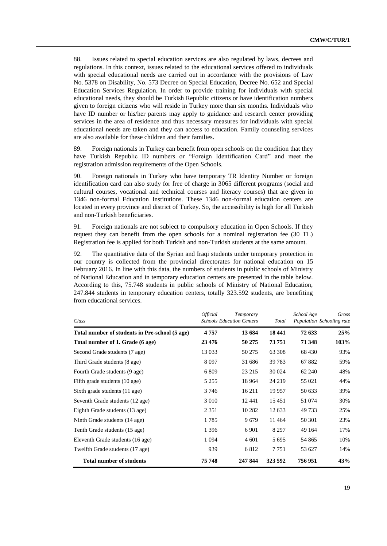88. Issues related to special education services are also regulated by laws, decrees and regulations. In this context, issues related to the educational services offered to individuals with special educational needs are carried out in accordance with the provisions of Law No. 5378 on Disability, No. 573 Decree on Special Education, Decree No. 652 and Special Education Services Regulation. In order to provide training for individuals with special educational needs, they should be Turkish Republic citizens or have identification numbers given to foreign citizens who will reside in Turkey more than six months. Individuals who have ID number or his/her parents may apply to guidance and research center providing services in the area of residence and thus necessary measures for individuals with special educational needs are taken and they can access to education. Family counseling services are also available for these children and their families.

89. Foreign nationals in Turkey can benefit from open schools on the condition that they have Turkish Republic ID numbers or "Foreign Identification Card" and meet the registration admission requirements of the Open Schools.

90. Foreign nationals in Turkey who have temporary TR Identity Number or foreign identification card can also study for free of charge in 3065 different programs (social and cultural courses, vocational and technical courses and literacy courses) that are given in 1346 non-formal Education Institutions. These 1346 non-formal education centers are located in every province and district of Turkey. So, the accessibility is high for all Turkish and non-Turkish beneficiaries.

91. Foreign nationals are not subject to compulsory education in Open Schools. If they request they can benefit from the open schools for a nominal registration fee (30 TL) Registration fee is applied for both Turkish and non-Turkish students at the same amount.

92. The quantitative data of the Syrian and Iraqi students under temporary protection in our country is collected from the [provincial directorates for national education](http://tureng.com/tr/turkce-ingilizce/provincial%20directorate%20for%20national%20education) on 15 February 2016. In line with this data, the numbers of students in public schools of Ministry of National Education and in temporary education centers are presented in the table below. According to this, 75.748 students in public schools of Ministry of National Education, 247.844 students in temporary education centers, totally 323.592 students, are benefiting from educational services.

| Class                                          | <i><b>Official</b></i> | Temporary<br><b>Schools Education Centers</b> | Total   | School Age | Gross<br>Population Schooling rate |
|------------------------------------------------|------------------------|-----------------------------------------------|---------|------------|------------------------------------|
| Total number of students in Pre-school (5 age) | 4757                   | 13 684                                        | 18441   | 72 633     | 25%                                |
| Total number of 1. Grade (6 age)               | 23 4 76                | 50 275                                        | 73 751  | 71 348     | 103%                               |
| Second Grade students (7 age)                  | 13 033                 | 50 275                                        | 63 308  | 68 4 30    | 93%                                |
| Third Grade students (8 age)                   | 8 0 9 7                | 31 686                                        | 39 7 83 | 67882      | 59%                                |
| Fourth Grade students (9 age)                  | 6 8 0 9                | 23 215                                        | 30 0 24 | 62 240     | 48%                                |
| Fifth grade students (10 age)                  | 5 2 5 5                | 18 9 64                                       | 24 219  | 55 0 21    | 44%                                |
| Sixth grade students (11 age)                  | 3 7 4 6                | 16 211                                        | 19 9 57 | 50 633     | 39%                                |
| Seventh Grade students (12 age)                | 3 0 1 0                | 12441                                         | 15451   | 51 074     | 30%                                |
| Eighth Grade students (13 age)                 | 2 3 5 1                | 10 2 8 2                                      | 12 633  | 49733      | 25%                                |
| Ninth Grade students (14 age)                  | 1785                   | 9679                                          | 11464   | 50 301     | 23%                                |
| Tenth Grade students (15 age)                  | 1 3 9 6                | 6 9 0 1                                       | 8 2 9 7 | 49 164     | 17%                                |
| Eleventh Grade students (16 age)               | 1 0 9 4                | 4 601                                         | 5 6 9 5 | 54 865     | 10%                                |
| Twelfth Grade students (17 age)                | 939                    | 6812                                          | 7 7 5 1 | 53 627     | 14%                                |
| <b>Total number of students</b>                | 75 748                 | 247 844                                       | 323 592 | 756951     | 43%                                |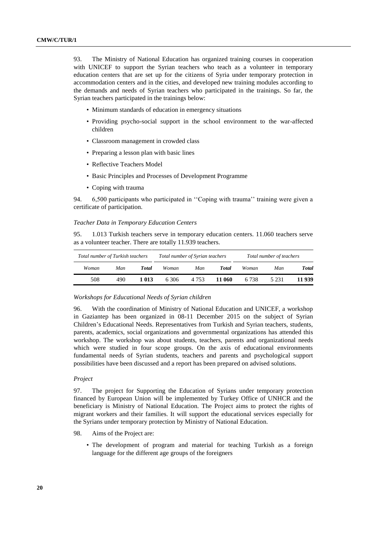93. The Ministry of National Education has organized training courses in cooperation with UNICEF to support the Syrian teachers who teach as a volunteer in temporary education centers that are set up for the citizens of Syria under temporary protection in accommodation centers and in the cities, and developed new training modules according to the demands and needs of Syrian teachers who participated in the trainings. So far, the Syrian teachers participated in the trainings below:

- Minimum standards of education in emergency situations
- Providing psycho-social support in the school environment to the war-affected children
- Classroom management in crowded class
- Preparing a lesson plan with basic lines
- Reflective Teachers Model
- Basic Principles and Processes of Development Programme
- Coping with trauma

94. 6,500 participants who participated in ''Coping with trauma'' training were given a certificate of participation.

#### *Teacher Data in Temporary Education Centers*

95. 1.013 Turkish teachers serve in temporary education centers. 11.060 teachers serve as a volunteer teacher. There are totally 11.939 teachers.

| Total number of Turkish teachers |     |       | Total number of Syrian teachers |       |        | Total number of teachers |       |              |
|----------------------------------|-----|-------|---------------------------------|-------|--------|--------------------------|-------|--------------|
| Woman                            | Man | Total | Woman                           | Man   | Total  | Woman                    | Man   | <b>Total</b> |
| 508                              | 490 | l 013 | 6306                            | 4.753 | 11 060 | 6 7 3 8                  | 5 231 | 11 939       |

#### *Workshops for Educational Needs of Syrian children*

96. With the coordination of Ministry of National Education and UNICEF, a workshop in Gaziantep has been organized in 08-11 December 2015 on the subject of Syrian Children's Educational Needs. Representatives from Turkish and Syrian teachers, students, parents, academics, social organizations and governmental organizations has attended this workshop. The workshop was about students, teachers, parents and organizational needs which were studied in four scope groups. On the axis of educational environments fundamental needs of Syrian students, teachers and parents and psychological support possibilities have been discussed and a report has been prepared on advised solutions.

#### *Project*

97. The project for Supporting the Education of Syrians under temporary protection financed by European Union will be implemented by Turkey Office of UNHCR and the beneficiary is Ministry of National Education. The Project aims to protect the rights of migrant workers and their families. It will support the educational services especially for the Syrians under temporary protection by Ministry of National Education.

- 98. Aims of the Project are:
	- The development of program and material for teaching Turkish as a foreign language for the different age groups of the foreigners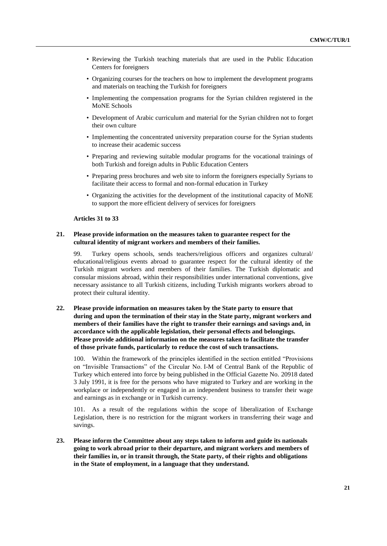- Reviewing the Turkish teaching materials that are used in the Public Education Centers for foreigners
- Organizing courses for the teachers on how to implement the development programs and materials on teaching the Turkish for foreigners
- Implementing the compensation programs for the Syrian children registered in the MoNE Schools
- Development of Arabic curriculum and material for the Syrian children not to forget their own culture
- Implementing the concentrated university preparation course for the Syrian students to increase their academic success
- Preparing and reviewing suitable modular programs for the vocational trainings of both Turkish and foreign adults in Public Education Centers
- Preparing press brochures and web site to inform the foreigners especially Syrians to facilitate their access to formal and non-formal education in Turkey
- Organizing the activities for the development of the institutional capacity of MoNE to support the more efficient delivery of services for foreigners

### **Articles 31 to 33**

### **21. Please provide information on the measures taken to guarantee respect for the cultural identity of migrant workers and members of their families.**

99. Turkey opens schools, sends teachers/religious officers and organizes cultural/ educational/religious events abroad to guarantee respect for the cultural identity of the Turkish migrant workers and members of their families. The Turkish diplomatic and consular missions abroad, within their responsibilities under international conventions, give necessary assistance to all Turkish citizens, including Turkish migrants workers abroad to protect their cultural identity.

# **22. Please provide information on measures taken by the State party to ensure that during and upon the termination of their stay in the State party, migrant workers and members of their families have the right to transfer their earnings and savings and, in accordance with the applicable legislation, their personal effects and belongings. Please provide additional information on the measures taken to facilitate the transfer of those private funds, particularly to reduce the cost of such transactions.**

100. Within the framework of the principles identified in the section entitled "Provisions on "Invisible Transactions" of the Circular No. I-M of Central Bank of the Republic of Turkey which entered into force by being published in the Official Gazette No. 20918 dated 3 July 1991, it is free for the persons who have migrated to Turkey and are working in the workplace or independently or engaged in an independent business to transfer their wage and earnings as in exchange or in Turkish currency.

101. As a result of the regulations within the scope of liberalization of Exchange Legislation, there is no restriction for the migrant workers in transferring their wage and savings.

**23. Please inform the Committee about any steps taken to inform and guide its nationals going to work abroad prior to their departure, and migrant workers and members of their families in, or in transit through, the State party, of their rights and obligations in the State of employment, in a language that they understand.**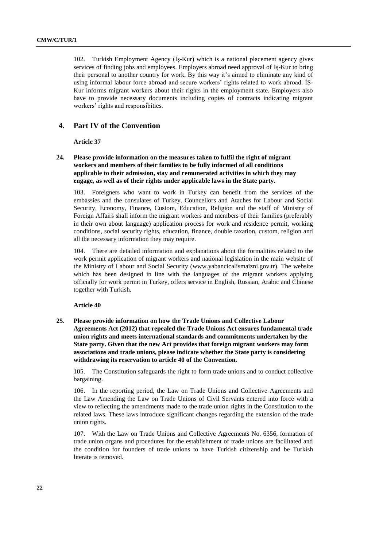102. Turkish Employment Agency (İş-Kur) which is a national placement agency gives services of finding jobs and employees. Employers abroad need approval of İş-Kur to bring their personal to another country for work. By this way it's aimed to eliminate any kind of using informal labour force abroad and secure workers' rights related to work abroad. İŞ-Kur informs migrant workers about their rights in the employment state. Employers also have to provide necessary documents including copies of contracts indicating migrant workers' rights and responsibities.

# **4. Part IV of the Convention**

**Article 37** 

**24. Please provide information on the measures taken to fulfil the right of migrant workers and members of their families to be fully informed of all conditions applicable to their admission, stay and remunerated activities in which they may engage, as well as of their rights under applicable laws in the State party.**

103. Foreigners who want to work in Turkey can benefit from the services of the embassies and the consulates of Turkey. Councellors and Ataches for Labour and Social Security, Economy, Finance, Custom, Education, Religion and the staff of Ministry of Foreign Affairs shall inform the migrant workers and members of their families (preferably in their own about language) application process for work and residence permit, working conditions, social security rights, education, finance, double taxation, custom, religion and all the necessary information they may require.

104. There are detailed information and explanations about the formalities related to the work permit application of migrant workers and national legislation in the main website of the Ministry of Labour and Social Security [\(www.yabancicalismaizni.gov.tr\)](http://www.yabancicalismaizni.gov.tr/). The website which has been designed in line with the languages of the migrant workers applying officially for work permit in Turkey, offers service in English, Russian, Arabic and Chinese together with Turkish.

#### **Article 40**

**25. Please provide information on how the Trade Unions and Collective Labour Agreements Act (2012) that repealed the Trade Unions Act ensures fundamental trade union rights and meets international standards and commitments undertaken by the State party. Given that the new Act provides that foreign migrant workers may form associations and trade unions, please indicate whether the State party is considering withdrawing its reservation to article 40 of the Convention.**

105. The Constitution safeguards the right to form trade unions and to conduct collective bargaining.

106. In the reporting period, the Law on Trade Unions and Collective Agreements and the Law Amending the Law on Trade Unions of Civil Servants entered into force with a view to reflecting the amendments made to the trade union rights in the Constitution to the related laws. These laws introduce significant changes regarding the extension of the trade union rights.

107. With the Law on Trade Unions and Collective Agreements No. 6356, formation of trade union organs and procedures for the establishment of trade unions are facilitated and the condition for founders of trade unions to have Turkish citizenship and be Turkish literate is removed.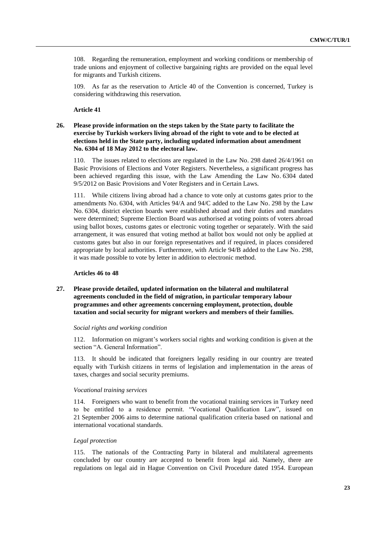108. Regarding the remuneration, employment and working conditions or membership of trade unions and enjoyment of collective bargaining rights are provided on the equal level for migrants and Turkish citizens.

109. As far as the reservation to Article 40 of the Convention is concerned, Turkey is considering withdrawing this reservation.

# **Article 41**

# **26. Please provide information on the steps taken by the State party to facilitate the exercise by Turkish workers living abroad of the right to vote and to be elected at elections held in the State party, including updated information about amendment No. 6304 of 18 May 2012 to the electoral law.**

110. The issues related to elections are regulated in the Law No. 298 dated 26/4/1961 on Basic Provisions of Elections and Voter Registers. Nevertheless, a significant progress has been achieved regarding this issue, with the Law Amending the Law No. 6304 dated 9/5/2012 on Basic Provisions and Voter Registers and in Certain Laws.

111. While citizens living abroad had a chance to vote only at customs gates prior to the amendments No. 6304, with Articles 94/A and 94/C added to the Law No. 298 by the Law No. 6304, district election boards were established abroad and their duties and mandates were determined; Supreme Election Board was authorised at voting points of voters abroad using ballot boxes, customs gates or electronic voting together or separately. With the said arrangement, it was ensured that voting method at ballot box would not only be applied at customs gates but also in our foreign representatives and if required, in places considered appropriate by local authorities. Furthermore, with Article 94/B added to the Law No. 298, it was made possible to vote by letter in addition to electronic method.

### **Articles 46 to 48**

# **27. Please provide detailed, updated information on the bilateral and multilateral agreements concluded in the field of migration, in particular temporary labour programmes and other agreements concerning employment, protection, double taxation and social security for migrant workers and members of their families.**

#### *Social rights and working condition*

112. Information on migrant's workers social rights and working condition is given at the section "A. General Information".

113. It should be indicated that foreigners legally residing in our country are treated equally with Turkish citizens in terms of legislation and implementation in the areas of taxes, charges and social security premiums.

#### *Vocational training services*

114. Foreigners who want to benefit from the vocational training services in Turkey need to be entitled to a residence permit. "Vocational Qualification Law", issued on 21 September 2006 aims to determine national qualification criteria based on national and international vocational standards.

### *Legal protection*

115. The nationals of the Contracting Party in bilateral and multilateral agreements concluded by our country are accepted to benefit from legal aid. Namely, there are regulations on legal aid in Hague Convention on Civil Procedure dated 1954. European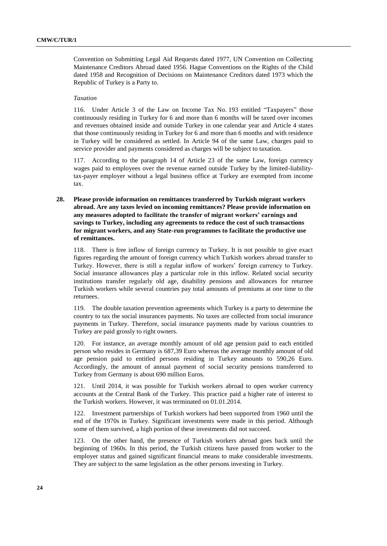Convention on Submitting Legal Aid Requests dated 1977, UN Convention on Collecting Maintenance Creditors Abroad dated 1956. Hague Conventions on the Rights of the Child dated 1958 and Recognition of Decisions on Maintenance Creditors dated 1973 which the Republic of Turkey is a Party to.

#### *Taxation*

116. Under Article 3 of the Law on Income Tax No. 193 entitled "Taxpayers" those continuously residing in Turkey for 6 and more than 6 months will be taxed over incomes and revenues obtained inside and outside Turkey in one calendar year and Article 4 states that those continuously residing in Turkey for 6 and more than 6 months and with residence in Turkey will be considered as settled. In Article 94 of the same Law, charges paid to service provider and payments considered as charges will be subject to taxation.

117. According to the paragraph 14 of Article 23 of the same Law, foreign currency wages paid to employees over the revenue earned outside Turkey by the limited-liabiIitytax-payer employer without a legal business office at Turkey are exempted from income tax.

# **28. Please provide information on remittances transferred by Turkish migrant workers abroad. Are any taxes levied on incoming remittances? Please provide information on any measures adopted to facilitate the transfer of migrant workers' earnings and savings to Turkey, including any agreements to reduce the cost of such transactions for migrant workers, and any State-run programmes to facilitate the productive use of remittances.**

118. There is free inflow of foreign currency to Turkey. It is not possible to give exact figures regarding the amount of foreign currency which Turkish workers abroad transfer to Turkey. However, there is still a regular inflow of workers' foreign currency to Turkey. Social insurance allowances play a particular role in this inflow. Related social security institutions transfer regularly old age, disability pensions and allowances for returnee Turkish workers while several countries pay total amounts of premiums at one time to the returnees.

119. The double taxation prevention agreements which Turkey is a party to determine the country to tax the social insurances payments. No taxes are collected from social insurance payments in Turkey. Therefore, social insurance payments made by various countries to Turkey are paid grossly to right owners.

120. For instance, an average monthly amount of old age pension paid to each entitled person who resides in Germany is 687,39 Euro whereas the average monthly amount of old age pension paid to entitled persons residing in Turkey amounts to 590,26 Euro. Accordingly, the amount of annual payment of social security pensions transferred to Turkey from Germany is about 690 million Euros.

121. Until 2014, it was possible for Turkish workers abroad to open worker currency accounts at the Central Bank of the Turkey. This practice paid a higher rate of interest to the Turkish workers. However, it was terminated on 01.01.2014.

122. Investment partnerships of Turkish workers had been supported from 1960 until the end of the 1970s in Turkey. Significant investments were made in this period. Although some of them survived, a high portion of these investments did not succeed.

123. On the other hand, the presence of Turkish workers abroad goes back until the beginning of 1960s. In this period, the Turkish citizens have passed from worker to the employer status and gained significant financial means to make considerable investments. They are subject to the same legislation as the other persons investing in Turkey.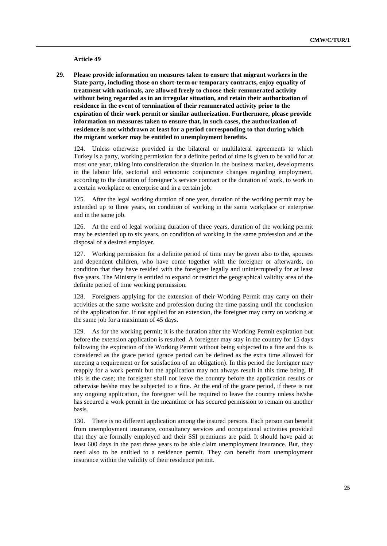**Article 49**

**29. Please provide information on measures taken to ensure that migrant workers in the State party, including those on short-term or temporary contracts, enjoy equality of treatment with nationals, are allowed freely to choose their remunerated activity without being regarded as in an irregular situation, and retain their authorization of residence in the event of termination of their remunerated activity prior to the expiration of their work permit or similar authorization. Furthermore, please provide information on measures taken to ensure that, in such cases, the authorization of residence is not withdrawn at least for a period corresponding to that during which the migrant worker may be entitled to unemployment benefits.**

124. Unless otherwise provided in the bilateral or multilateral agreements to which Turkey is a party, working permission for a definite period of time is given to be valid for at most one year, taking into consideration the situation in the business market, developments in the labour life, sectorial and economic conjuncture changes regarding employment, according to the duration of foreigner's service contract or the duration of work, to work in a certain workplace or enterprise and in a certain job.

125. After the legal working duration of one year, duration of the working permit may be extended up to three years, on condition of working in the same workplace or enterprise and in the same job.

126. At the end of legal working duration of three years, duration of the working permit may be extended up to six years, on condition of working in the same profession and at the disposal of a desired employer.

127. Working permission for a definite period of time may be given also to the, spouses and dependent children, who have come together with the foreigner or afterwards, on condition that they have resided with the foreigner legally and uninterruptedly for at least five years. The Ministry is entitled to expand or restrict the geographical validity area of the definite period of time working permission.

128. Foreigners applying for the extension of their Working Permit may carry on their activities at the same worksite and profession during the time passing until the conclusion of the application for. If not applied for an extension, the foreigner may carry on working at the same job for a maximum of 45 days.

129. As for the working permit; it is the duration after the Working Permit expiration but before the extension application is resulted. A foreigner may stay in the country for 15 days following the expiration of the Working Permit without being subjected to a fine and this is considered as the grace period (grace period can be defined as the extra time allowed for meeting a requirement or for satisfaction of an obligation). In this period the foreigner may reapply for a work permit but the application may not always result in this time being. If this is the case; the foreigner shall not leave the country before the application results or otherwise he/she may be subjected to a fine. At the end of the grace period, if there is not any ongoing application, the foreigner will be required to leave the country unless he/she has secured a work permit in the meantime or has secured permission to remain on another basis.

130. There is no different application among the insured persons. Each person can benefit from unemployment insurance, consultancy services and occupational activities provided that they are formally employed and their SSI premiums are paid. It should have paid at least 600 days in the past three years to be able claim unemployment insurance. But, they need also to be entitled to a residence permit. They can benefit from unemployment insurance within the validity of their residence permit.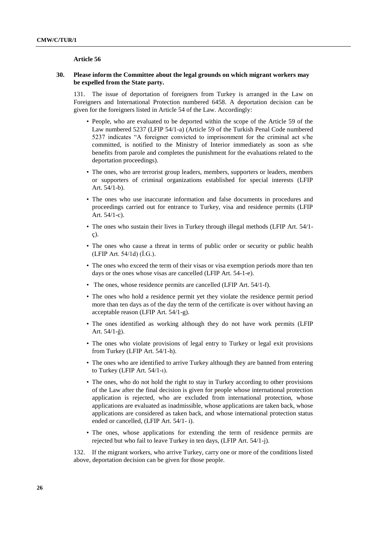#### **Article 56**

## **30. Please inform the Committee about the legal grounds on which migrant workers may be expelled from the State party.**

131. The issue of deportation of foreigners from Turkey is arranged in the Law on Foreigners and International Protection numbered 6458. A deportation decision can be given for the foreigners listed in Article 54 of the Law. Accordingly:

- People, who are evaluated to be deported within the scope of the Article 59 of the Law numbered 5237 (LFIP 54/1-a) (Article 59 of the Turkish Penal Code numbered 5237 indicates "A foreigner convicted to imprisonment for the criminal act s/he committed, is notified to the Ministry of Interior immediately as soon as s/he benefits from parole and completes the punishment for the evaluations related to the deportation proceedings).
- The ones, who are terrorist group leaders, members, supporters or leaders, members or supporters of criminal organizations established for special interests (LFIP Art. 54/1-b).
- The ones who use inaccurate information and false documents in procedures and proceedings carried out for entrance to Turkey, visa and residence permits (LFIP Art. 54/1-c).
- The ones who sustain their lives in Turkey through illegal methods (LFIP Art. 54/1 ç).
- The ones who cause a threat in terms of public order or security or public health (LFIP Art. 54/1d) (İ.G.).
- The ones who exceed the term of their visas or visa exemption periods more than ten days or the ones whose visas are cancelled (LFIP Art. 54-1-e).
- The ones, whose residence permits are cancelled (LFIP Art. 54/1-f).
- The ones who hold a residence permit yet they violate the residence permit period more than ten days as of the day the term of the certificate is over without having an acceptable reason (LFIP Art. 54/1-g).
- The ones identified as working although they do not have work permits (LFIP Art. 54/1-ğ).
- The ones who violate provisions of legal entry to Turkey or legal exit provisions from Turkey (LFIP Art. 54/1-h).
- The ones who are identified to arrive Turkey although they are banned from entering to Turkey (LFIP Art. 54/1-ı).
- The ones, who do not hold the right to stay in Turkey according to other provisions of the Law after the final decision is given for people whose international protection application is rejected, who are excluded from international protection, whose applications are evaluated as inadmissible, whose applications are taken back, whose applications are considered as taken back, and whose international protection status ended or cancelled, (LFIP Art. 54/1- i).
- The ones, whose applications for extending the term of residence permits are rejected but who fail to leave Turkey in ten days, (LFIP Art. 54/1-j).

132. If the migrant workers, who arrive Turkey, carry one or more of the conditions listed above, deportation decision can be given for those people.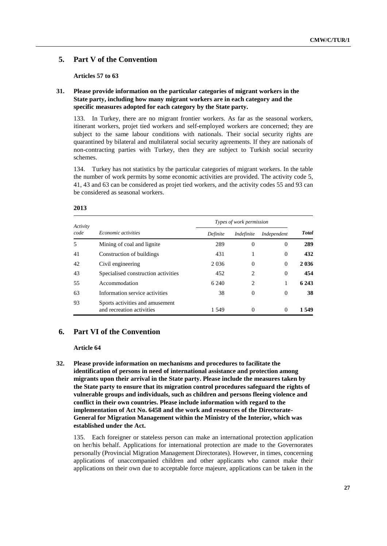# **5. Part V of the Convention**

**Articles 57 to 63**

# **31. Please provide information on the particular categories of migrant workers in the State party, including how many migrant workers are in each category and the specific measures adopted for each category by the State party.**

133. In Turkey, there are no migrant frontier workers. As far as the seasonal workers, itinerant workers, projet tied workers and self-employed workers are concerned; they are subject to the same labour conditions with nationals. Their social security rights are quarantined by bilateral and multilateral social security agreements. If they are nationals of non-contracting parties with Turkey, then they are subject to Turkish social security schemes.

134. Turkey has not statistics by the particular categories of migrant workers. In the table the number of work permits by some economic activities are provided. The activity code 5, 41, 43 and 63 can be considered as projet tied workers, and the activity codes 55 and 93 can be considered as seasonal workers.

| Activity |                                                              | Types of work permission |                |             |              |
|----------|--------------------------------------------------------------|--------------------------|----------------|-------------|--------------|
| code     | Economic activities                                          | Definite                 | Indefinite     | Independent | <b>Total</b> |
| 5        | Mining of coal and lignite.                                  | 289                      | $\Omega$       | $\Omega$    | 289          |
| 41       | Construction of buildings                                    | 431                      |                | $\Omega$    | 432          |
| 42       | Civil engineering                                            | 2036                     | $\Omega$       | $\Omega$    | 2 0 3 6      |
| 43       | Specialised construction activities                          | 452                      | 2              | $\Omega$    | 454          |
| 55       | Accommodation                                                | 6 2 4 0                  | $\mathfrak{D}$ |             | 6 2 4 3      |
| 63       | Information service activities                               | 38                       | $\Omega$       | $\Omega$    | 38           |
| 93       | Sports activities and amusement<br>and recreation activities | 1.549                    | $\Omega$       | $\Omega$    | 1.549        |

#### **2013**

# **6. Part VI of the Convention**

#### **Article 64**

**32. Please provide information on mechanisms and procedures to facilitate the identification of persons in need of international assistance and protection among migrants upon their arrival in the State party. Please include the measures taken by the State party to ensure that its migration control procedures safeguard the rights of vulnerable groups and individuals, such as children and persons fleeing violence and conflict in their own countries. Please include information with regard to the implementation of Act No. 6458 and the work and resources of the Directorate-General for Migration Management within the Ministry of the Interior, which was established under the Act.**

135. Each foreigner or stateless person can make an international protection application on her/his behalf. Applications for international protection are made to the Governorates personally (Provincial Migration Management Directorates). However, in times, concerning applications of unaccompanied children and other applicants who cannot make their applications on their own due to acceptable force majeure, applications can be taken in the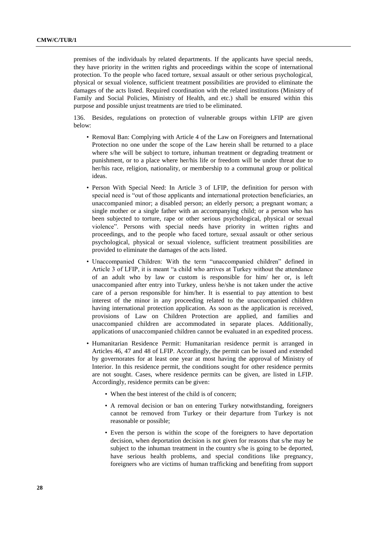premises of the individuals by related departments. If the applicants have special needs, they have priority in the written rights and proceedings within the scope of international protection. To the people who faced torture, sexual assault or other serious psychological, physical or sexual violence, sufficient treatment possibilities are provided to eliminate the damages of the acts listed. Required coordination with the related institutions (Ministry of Family and Social Policies, Ministry of Health, and etc.) shall be ensured within this purpose and possible unjust treatments are tried to be eliminated.

136. Besides, regulations on protection of vulnerable groups within LFIP are given below:

- Removal Ban: Complying with Article 4 of the Law on Foreigners and International Protection no one under the scope of the Law herein shall be returned to a place where s/he will be subject to torture, inhuman treatment or degrading treatment or punishment, or to a place where her/his life or freedom will be under threat due to her/his race, religion, nationality, or membership to a communal group or political ideas.
- Person With Special Need: In Article 3 of LFIP, the definition for person with special need is "out of those applicants and international protection beneficiaries, an unaccompanied minor; a disabled person; an elderly person; a pregnant woman; a single mother or a single father with an accompanying child; or a person who has been subjected to torture, rape or other serious psychological, physical or sexual violence". Persons with special needs have priority in written rights and proceedings, and to the people who faced torture, sexual assault or other serious psychological, physical or sexual violence, sufficient treatment possibilities are provided to eliminate the damages of the acts listed.
- Unaccompanied Children: With the term "unaccompanied children" defined in Article 3 of LFIP, it is meant "a child who arrives at Turkey without the attendance of an adult who by law or custom is responsible for him/ her or, is left unaccompanied after entry into Turkey, unless he/she is not taken under the active care of a person responsible for him/her. It is essential to pay attention to best interest of the minor in any proceeding related to the unaccompanied children having international protection application. As soon as the application is received, provisions of Law on Children Protection are applied, and families and unaccompanied children are accommodated in separate places. Additionally, applications of unaccompanied children cannot be evaluated in an expedited process.
- Humanitarian Residence Permit: Humanitarian residence permit is arranged in Articles 46, 47 and 48 of LFIP. Accordingly, the permit can be issued and extended by governorates for at least one year at most having the approval of Ministry of Interior. In this residence permit, the conditions sought for other residence permits are not sought. Cases, where residence permits can be given, are listed in LFIP. Accordingly, residence permits can be given:
	- When the best interest of the child is of concern;
	- A removal decision or ban on entering Turkey notwithstanding, foreigners cannot be removed from Turkey or their departure from Turkey is not reasonable or possible;
	- Even the person is within the scope of the foreigners to have deportation decision, when deportation decision is not given for reasons that s/he may be subject to the inhuman treatment in the country s/he is going to be deported, have serious health problems, and special conditions like pregnancy, foreigners who are victims of human trafficking and benefiting from support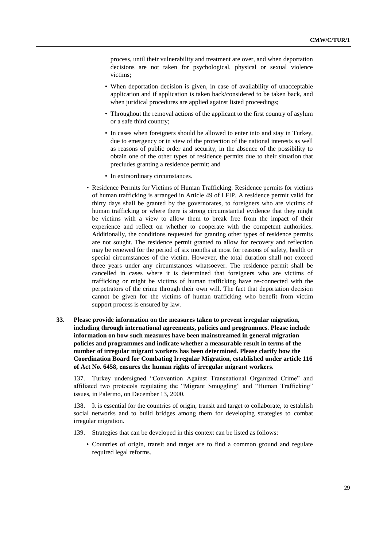process, until their vulnerability and treatment are over, and when deportation decisions are not taken for psychological, physical or sexual violence victims;

- When deportation decision is given, in case of availability of unacceptable application and if application is taken back/considered to be taken back, and when juridical procedures are applied against listed proceedings;
- Throughout the removal actions of the applicant to the first country of asylum or a safe third country;
- In cases when foreigners should be allowed to enter into and stay in Turkey, due to emergency or in view of the protection of the national interests as well as reasons of public order and security, in the absence of the possibility to obtain one of the other types of residence permits due to their situation that precludes granting a residence permit; and
- In extraordinary circumstances.
- Residence Permits for Victims of Human Trafficking: Residence permits for victims of human trafficking is arranged in Article 49 of LFIP. A residence permit valid for thirty days shall be granted by the governorates, to foreigners who are victims of human trafficking or where there is strong circumstantial evidence that they might be victims with a view to allow them to break free from the impact of their experience and reflect on whether to cooperate with the competent authorities. Additionally, the conditions requested for granting other types of residence permits are not sought. The residence permit granted to allow for recovery and reflection may be renewed for the period of six months at most for reasons of safety, health or special circumstances of the victim. However, the total duration shall not exceed three years under any circumstances whatsoever. The residence permit shall be cancelled in cases where it is determined that foreigners who are victims of trafficking or might be victims of human trafficking have re-connected with the perpetrators of the crime through their own will. The fact that deportation decision cannot be given for the victims of human trafficking who benefit from victim support process is ensured by law.
- **33. Please provide information on the measures taken to prevent irregular migration, including through international agreements, policies and programmes. Please include information on how such measures have been mainstreamed in general migration policies and programmes and indicate whether a measurable result in terms of the number of irregular migrant workers has been determined. Please clarify how the Coordination Board for Combating Irregular Migration, established under article 116 of Act No. 6458, ensures the human rights of irregular migrant workers.**

137. Turkey undersigned "Convention Against Transnational Organized Crime" and affiliated two protocols regulating the "Migrant Smuggling" and "Human Trafficking" issues, in Palermo, on December 13, 2000.

138. It is essential for the countries of origin, transit and target to collaborate, to establish social networks and to build bridges among them for developing strategies to combat irregular migration.

- 139. Strategies that can be developed in this context can be listed as follows:
	- Countries of origin, transit and target are to find a common ground and regulate required legal reforms.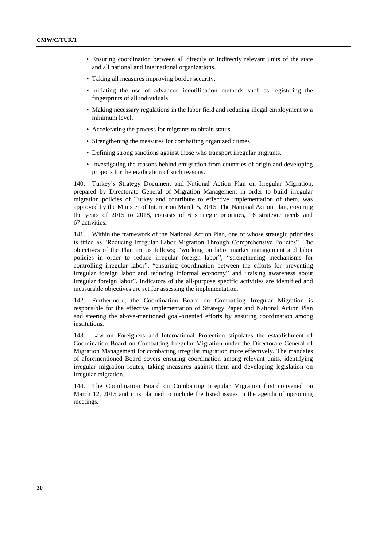- Ensuring coordination between all directly or indirectly relevant units of the state and all national and international organizations.
- Taking all measures improving border security.
- Initiating the use of advanced identification methods such as registering the fingerprints of all individuals.
- Making necessary regulations in the labor field and reducing illegal employment to a minimum level.
- Accelerating the process for migrants to obtain status.
- Strengthening the measures for combatting organized crimes.
- Defining strong sanctions against those who transport irregular migrants.
- Investigating the reasons behind emigration from countries of origin and developing projects for the eradication of such reasons.

140. Turkey's Strategy Document and National Action Plan on Irregular Migration, prepared by Directorate General of Migration Management in order to build irregular migration policies of Turkey and contribute to effective implementation of them, was approved by the Minister of Interior on March 5, 2015. The National Action Plan, covering the years of 2015 to 2018, consists of 6 strategic priorities, 16 strategic needs and 67 activities.

141. Within the framework of the National Action Plan, one of whose strategic priorities is titled as "Reducing Irregular Labor Migration Through Comprehensive Policies". The objectives of the Plan are as follows; "working on labor market management and labor policies in order to reduce irregular foreign labor", "strengthening mechanisms for controlling irregular labor", "ensuring coordination between the efforts for preventing irregular foreign labor and reducing informal economy" and "raising awareness about irregular foreign labor". Indicators of the all-purpose specific activities are identified and measurable objectives are set for assessing the implementation.

142. Furthermore, the Coordination Board on Combatting Irregular Migration is responsible for the effective implementation of Strategy Paper and National Action Plan and steering the above-mentioned goal-oriented efforts by ensuring coordination among institutions.

143. Law on Foreigners and International Protection stipulates the establishment of Coordination Board on Combatting Irregular Migration under the Directorate General of Migration Management for combatting irregular migration more effectively. The mandates of aforementioned Board covers ensuring coordination among relevant units, identifying irregular migration routes, taking measures against them and developing legislation on irregular migration.

144. The Coordination Board on Combatting Irregular Migration first convened on March 12, 2015 and it is planned to include the listed issues in the agenda of upcoming meetings.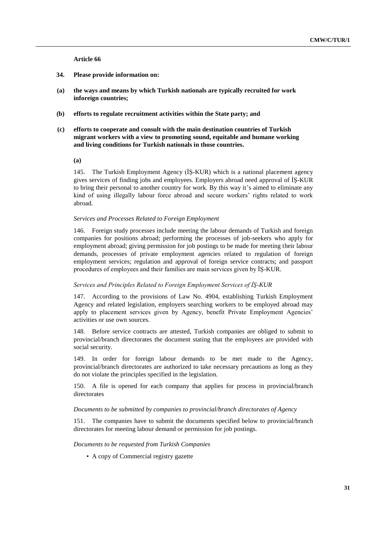**Article 66**

- **34. Please provide information on:**
- **(a) the ways and means by which Turkish nationals are typically recruited for work inforeign countries;**
- **(b) efforts to regulate recruitment activities within the State party; and**
- **(c) efforts to cooperate and consult with the main destination countries of Turkish migrant workers with a view to promoting sound, equitable and humane working and living conditions for Turkish nationals in those countries.**

**(a)**

145. The Turkish Employment Agency (İŞ-KUR) which is a national placement agency gives services of finding jobs and employees. Employers abroad need approval of İŞ-KUR to bring their personal to another country for work. By this way it's aimed to eliminate any kind of using illegally labour force abroad and secure workers' rights related to work abroad.

#### *Services and Processes Related to Foreign Employment*

146. Foreign study processes include meeting the labour demands of Turkish and foreign companies for positions abroad; performing the processes of job-seekers who apply for employment abroad; giving permission for job postings to be made for meeting their labour demands, processes of private employment agencies related to regulation of foreign employment services; regulation and approval of foreign service contracts; and passport procedures of employees and their families are main services given by İŞ-KUR.

#### *Services and Principles Related to Foreign Employment Services of İŞ-KUR*

147. According to the provisions of Law No. 4904, establishing Turkish Employment Agency and related legislation, employers searching workers to be employed abroad may apply to placement services given by Agency, benefit Private Employment Agencies' activities or use own sources.

148. Before service contracts are attested, Turkish companies are obliged to submit to provincial/branch directorates the document stating that the employees are provided with social security.

149. In order for foreign labour demands to be met made to the Agency, provincial/branch directorates are authorized to take necessary precautions as long as they do not violate the principles specified in the legislation.

150. A file is opened for each company that applies for process in provincial/branch directorates

#### *Documents to be submitted by companies to provincial/branch directorates of Agency*

151. The companies have to submit the documents specified below to provincial/branch directorates for meeting labour demand or permission for job postings.

*Documents to be requested from Turkish Companies*

• A copy of Commercial registry gazette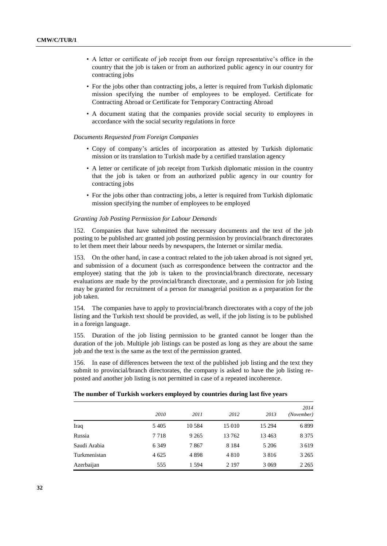- A letter or certificate of job receipt from our foreign representative's office in the country that the job is taken or from an authorized public agency in our country for contracting jobs
- For the jobs other than contracting jobs, a letter is required from Turkish diplomatic mission specifying the number of employees to be employed. Certificate for Contracting Abroad or Certificate for Temporary Contracting Abroad
- A document stating that the companies provide social security to employees in accordance with the social security regulations in force

#### *Documents Requested from Foreign Companies*

- Copy of company's articles of incorporation as attested by Turkish diplomatic mission or its translation to Turkish made by a certified translation agency
- A letter or certificate of job receipt from Turkish diplomatic mission in the country that the job is taken or from an authorized public agency in our country for contracting jobs
- For the jobs other than contracting jobs, a letter is required from Turkish diplomatic mission specifying the number of employees to be employed

### *Granting Job Posting Permission for Labour Demands*

152. Companies that have submitted the necessary documents and the text of the job posting to be published arc granted job posting permission by provincial/branch directorates to let them meet their labour needs by newspapers, the Internet or similar media.

153. On the other hand, in case a contract related to the job taken abroad is not signed yet, and submission of a document (such as correspondence between the contractor and the employee) stating that the job is taken to the provincial/branch directorate, necessary evaluations are made by the provincial/branch directorate, and a permission for job listing may be granted for recruitment of a person for managerial position as a preparation for the job taken.

154. The companies have to apply to provincial/branch directorates with a copy of the job listing and the Turkish text should be provided, as well, if the job listing is to be published in a foreign language.

155. Duration of the job listing permission to be granted cannot be longer than the duration of the job. Multiple job listings can be posted as long as they are about the same job and the text is the same as the text of the permission granted.

156. In ease of differences between the text of the published job listing and the text they submit to provincial/branch directorates, the company is asked to have the job listing reposted and another job listing is not permitted in case of a repeated incoherence.

#### **The number of Turkish workers employed by countries during last five years**

|              | 2010    | 2011     | 2012    | 2013    | 2014<br>(November) |
|--------------|---------|----------|---------|---------|--------------------|
| Iraq         | 5 4 0 5 | 10 5 8 4 | 15 010  | 15 294  | 6899               |
| Russia       | 7 7 1 8 | 9 2 6 5  | 13 762  | 13 4 63 | 8 3 7 5            |
| Saudi Arabia | 6 3 4 9 | 7867     | 8 1 8 4 | 5 20 6  | 3619               |
| Turkmenistan | 4 6 25  | 4898     | 4 8 1 0 | 3816    | 3 2 6 5            |
| Azerbaijan   | 555     | 1 5 9 4  | 2 1 9 7 | 3 0 6 9 | 2 2 6 5            |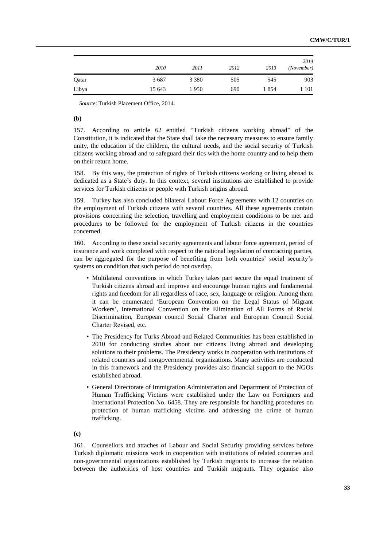|       |        |         |      |      | 2014       |
|-------|--------|---------|------|------|------------|
|       | 2010   | 2011    | 2012 | 2013 | (November) |
| Qatar | 3687   | 3 3 8 0 | 505  | 545  | 903        |
| Libya | 15 643 | 1950    | 690  | 1854 | 1 101      |

*Source*: Turkish Placement Office, 2014.

# **(b)**

157. According to article 62 entitled "Turkish citizens working abroad" of the Constitution, it is indicated that the State shall take the necessary measures to ensure family unity, the education of the children, the cultural needs, and the social security of Turkish citizens working abroad and to safeguard their tics with the home country and to help them on their return home.

158. By this way, the protection of rights of Turkish citizens working or living abroad is dedicated as a State's duty. In this context, several institutions are established to provide services for Turkish citizens or people with Turkish origins abroad.

159. Turkey has also concluded bilateral Labour Force Agreements with 12 countries on the employment of Turkish citizens with several countries. All these agreements contain provisions concerning the selection, travelling and employment conditions to be met and procedures to be followed for the employment of Turkish citizens in the countries concerned.

160. According to these social security agreements and labour force agreement, period of insurance and work completed with respect to the national legislation of contracting parties, can be aggregated for the purpose of benefiting from both countries' social security's systems on condition that such period do not overlap.

- Multilateral conventions in which Turkey takes part secure the equal treatment of Turkish citizens abroad and improve and encourage human rights and fundamental rights and freedom for all regardless of race, sex, language or religion. Among them it can be enumerated 'European Convention on the Legal Status of Migrant Workers', International Convention on the Elimination of All Forms of Racial Discrimination, European council Social Charter and European Council Social Charter Revised, etc.
- The Presidency for Turks Abroad and Related Communities has been established in 2010 for conducting studies about our citizens living abroad and developing solutions to their problems. The Presidency works in cooperation with institutions of related countries and nongovernmental organizations. Many activities are conducted in this framework and the Presidency provides also financial support to the NGOs established abroad.
- General Directorate of Immigration Administration and Department of Protection of Human Trafficking Victims were established under the Law on Foreigners and International Protection No. 6458. They are responsible for handling procedures on protection of human trafficking victims and addressing the crime of human trafficking.

**(c)**

161. Counsellors and attaches of Labour and Social Security providing services before Turkish diplomatic missions work in cooperation with institutions of related countries and non-governmental organizations established by Turkish migrants to increase the relation between the authorities of host countries and Turkish migrants. They organise also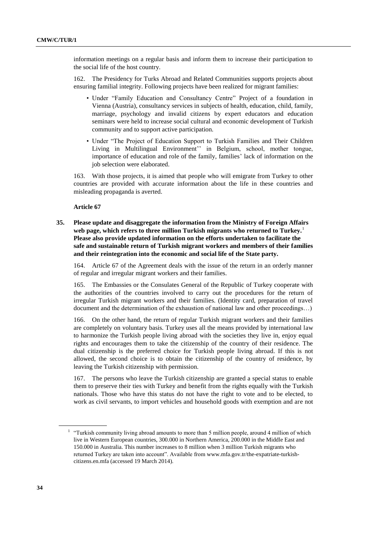information meetings on a regular basis and inform them to increase their participation to the social life of the host country.

162. The Presidency for Turks Abroad and Related Communities supports projects about ensuring familial integrity. Following projects have been realized for migrant families:

- Under "Family Education and Consultancy Centre" Project of a foundation in Vienna (Austria), consultancy services in subjects of health, education, child, family, marriage, psychology and invalid citizens by expert educators and education seminars were held to increase social cultural and economic development of Turkish community and to support active participation.
- Under "The Project of Education Support to Turkish Families and Their Children Living in Multilingual Environment'' in Belgium, school, mother tongue, importance of education and role of the family, families' lack of information on the job selection were elaborated.

163. With those projects, it is aimed that people who will emigrate from Turkey to other countries are provided with accurate information about the life in these countries and misleading propaganda is averted.

**Article 67**

**35. Please update and disaggregate the information from the Ministry of Foreign Affairs web page, which refers to three million Turkish migrants who returned to Turkey.**<sup>1</sup> **Please also provide updated information on the efforts undertaken to facilitate the safe and sustainable return of Turkish migrant workers and members of their families and their reintegration into the economic and social life of the State party.**

164. Article 67 of the Agreement deals with the issue of the return in an orderly manner of regular and irregular migrant workers and their families.

165. The Embassies or the Consulates General of the Republic of Turkey cooperate with the authorities of the countries involved to carry out the procedures for the return of irregular Turkish migrant workers and their families. (Identity card, preparation of travel document and the determination of the exhaustion of national law and other proceedings…)

166. On the other hand, the return of regular Turkish migrant workers and their families are completely on voluntary basis. Turkey uses all the means provided by international law to harmonize the Turkish people living abroad with the societies they live in, enjoy equal rights and encourages them to take the citizenship of the country of their residence. The dual citizenship is the preferred choice for Turkish people living abroad. If this is not allowed, the second choice is to obtain the citizenship of the country of residence, by leaving the Turkish citizenship with permission.

167. The persons who leave the Turkish citizenship are granted a special status to enable them to preserve their ties with Turkey and benefit from the rights equally with the Turkish nationals. Those who have this status do not have the right to vote and to be elected, to work as civil servants, to import vehicles and household goods with exemption and are not

<sup>&</sup>lt;sup>1</sup> "Turkish community living abroad amounts to more than 5 million people, around 4 million of which live in Western European countries, 300.000 in Northern America, 200.000 in the Middle East and 150.000 in Australia. This number increases to 8 million when 3 million Turkish migrants who returned Turkey are taken into account". Available from [www.mfa.gov.tr/the-expatriate-turkish](file:///C:/Users/Rosniansky/AppData/Local/Temp/notes1F4F7E/www.mfa.gov.tr/the-expatriate-turkish-citizens.en.mfa)[citizens.en.mfa](file:///C:/Users/Rosniansky/AppData/Local/Temp/notes1F4F7E/www.mfa.gov.tr/the-expatriate-turkish-citizens.en.mfa) (accessed 19 March 2014).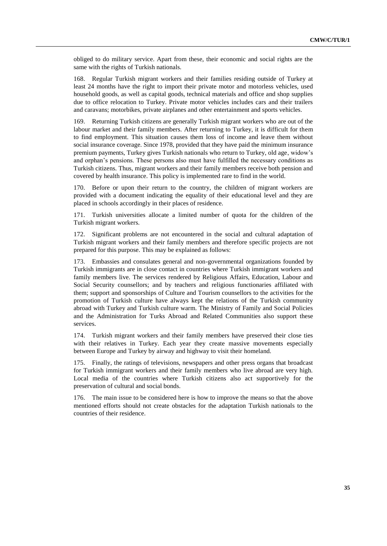obliged to do military service. Apart from these, their economic and social rights are the same with the rights of Turkish nationals.

168. Regular Turkish migrant workers and their families residing outside of Turkey at least 24 months have the right to import their private motor and motorless vehicles, used household goods, as well as capital goods, technical materials and office and shop supplies due to office relocation to Turkey. Private motor vehicles includes cars and their trailers and caravans; motorbikes, private airplanes and other entertainment and sports vehicles.

169. Returning Turkish citizens are generally Turkish migrant workers who are out of the labour market and their family members. After returning to Turkey, it is difficult for them to find employment. This situation causes them loss of income and leave them without social insurance coverage. Since 1978, provided that they have paid the minimum insurance premium payments, Turkey gives Turkish nationals who return to Turkey, old age, widow's and orphan's pensions. These persons also must have fulfilled the necessary conditions as Turkish citizens. Thus, migrant workers and their family members receive both pension and covered by health insurance. This policy is implemented rare to find in the world.

170. Before or upon their return to the country, the children of migrant workers are provided with a document indicating the equality of their educational level and they are placed in schools accordingly in their places of residence.

171. Turkish universities allocate a limited number of quota for the children of the Turkish migrant workers.

172. Significant problems are not encountered in the social and cultural adaptation of Turkish migrant workers and their family members and therefore specific projects are not prepared for this purpose. This may be explained as follows:

173. Embassies and consulates general and non-governmental organizations founded by Turkish immigrants are in close contact in countries where Turkish immigrant workers and family members live. The services rendered by Religious Affairs, Education, Labour and Social Security counsellors; and by teachers and religious functionaries affiliated with them; support and sponsorships of Culture and Tourism counsellors to the activities for the promotion of Turkish culture have always kept the relations of the Turkish community abroad with Turkey and Turkish culture warm. The Ministry of Family and Social Policies and the Administration for Turks Abroad and Related Communities also support these services.

174. Turkish migrant workers and their family members have preserved their close ties with their relatives in Turkey. Each year they create massive movements especially between Europe and Turkey by airway and highway to visit their homeland.

175. Finally, the ratings of televisions, newspapers and other press organs that broadcast for Turkish immigrant workers and their family members who live abroad are very high. Local media of the countries where Turkish citizens also act supportively for the preservation of cultural and social bonds.

176. The main issue to be considered here is how to improve the means so that the above mentioned efforts should not create obstacles for the adaptation Turkish nationals to the countries of their residence.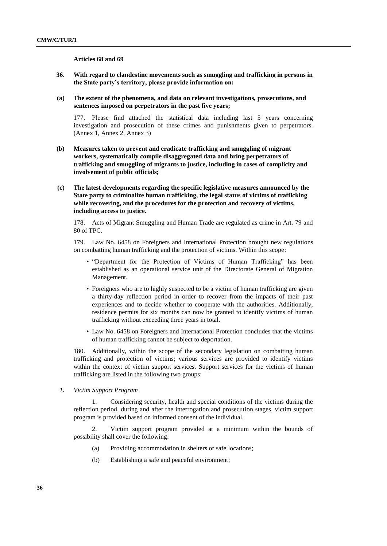### **Articles 68 and 69**

- **36. With regard to clandestine movements such as smuggling and trafficking in persons in the State party's territory, please provide information on:**
- **(a) The extent of the phenomena, and data on relevant investigations, prosecutions, and sentences imposed on perpetrators in the past five years;**

177. Please find attached the statistical data including last 5 years concerning investigation and prosecution of these crimes and punishments given to perpetrators. (Annex 1, Annex 2, Annex 3)

- **(b) Measures taken to prevent and eradicate trafficking and smuggling of migrant workers, systematically compile disaggregated data and bring perpetrators of trafficking and smuggling of migrants to justice, including in cases of complicity and involvement of public officials;**
- **(c) The latest developments regarding the specific legislative measures announced by the State party to criminalize human trafficking, the legal status of victims of trafficking while recovering, and the procedures for the protection and recovery of victims, including access to justice.**

178. Acts of Migrant Smuggling and Human Trade are regulated as crime in Art. 79 and 80 of TPC.

179. Law No. 6458 on Foreigners and International Protection brought new regulations on combatting human trafficking and the protection of victims. Within this scope:

- "Department for the Protection of Victims of Human Trafficking" has been established as an operational service unit of the Directorate General of Migration Management.
- Foreigners who are to highly suspected to be a victim of human trafficking are given a thirty-day reflection period in order to recover from the impacts of their past experiences and to decide whether to cooperate with the authorities. Additionally, residence permits for six months can now be granted to identify victims of human trafficking without exceeding three years in total.
- Law No. 6458 on Foreigners and International Protection concludes that the victims of human trafficking cannot be subject to deportation.

180. Additionally, within the scope of the secondary legislation on combatting human trafficking and protection of victims; various services are provided to identify victims within the context of victim support services. Support services for the victims of human trafficking are listed in the following two groups:

*1. Victim Support Program*

1. Considering security, health and special conditions of the victims during the reflection period, during and after the interrogation and prosecution stages, victim support program is provided based on informed consent of the individual.

2. Victim support program provided at a minimum within the bounds of possibility shall cover the following:

- (a) Providing accommodation in shelters or safe locations;
- (b) Establishing a safe and peaceful environment;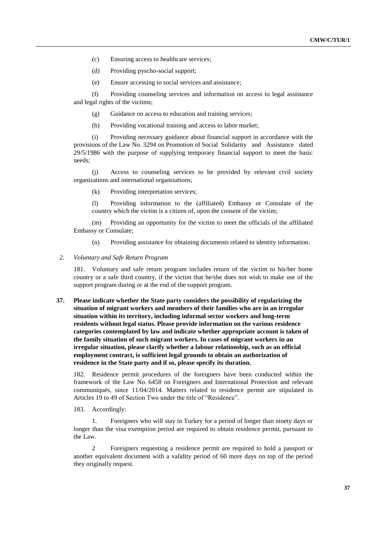- (c) Ensuring access to healthcare services;
- (d) Providing pyscho-social support;
- (e) Ensure accessing to social services and assistance;

(f) Providing counseling services and information on access to legal assistance and legal rights of the victims;

- (g) Guidance on access to education and training services;
- (h) Providing vocational training and access to labor market;

(i) Providing necessary guidance about financial support in accordance with the provisions of the Law No. 3294 on Promotion of Social Solidarity and Assistance dated 29/5/1986 with the purpose of supplying temporary financial support to meet the basic needs;

(j) Access to counseling services to be provided by relevant civil society organizations and international organizations;

(k) Providing interpretation services;

(l) Providing information to the (affiliated) Embassy or Consulate of the country which the victim is a citizen of, upon the consent of the victim;

(m) Providing an opportunity for the victim to meet the officials of the affiliated Embassy or Consulate;

(n) Providing assistance for obtaining documents related to identity information.

#### *2. Voluntary and Safe Return Program*

181. Voluntary and safe return program includes return of the victim to his/her home country or a safe third country, if the victim that he/she does not wish to make use of the support program during or at the end of the support program.

# **37. Please indicate whether the State party considers the possibility of regularizing the situation of migrant workers and members of their families who are in an irregular situation within its territory, including informal sector workers and long-term residents without legal status. Please provide information on the various residence categories contemplated by law and indicate whether appropriate account is taken of the family situation of such migrant workers. In cases of migrant workers in an irregular situation, please clarify whether a labour relationship, such as an official employment contract, is sufficient legal grounds to obtain an authorization of residence in the State party and if so, please specify its duration.**

182. Residence permit procedures of the foreigners have been conducted within the framework of the Law No. 6458 on Foreigners and International Protection and relevant communiqués, since 11/04/2014. Matters related to residence permit are stipulated in Articles 19 to 49 of Section Two under the title of "Residence".

183. Accordingly:

1. Foreigners who will stay in Turkey for a period of longer than ninety days or longer than the visa exemption period are required to obtain residence permit, pursuant to the Law.

2 Foreigners requesting a residence permit are required to hold a passport or another equivalent document with a validity period of 60 more days on top of the period they originally request.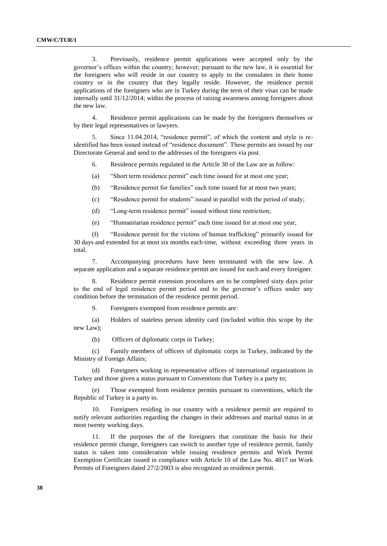3. Previously, residence permit applications were accepted only by the governor's offices within the country; however; pursuant to the new law, it is essential for the foreigners who will reside in our country to apply to the consulates in their home country or in the country that they legally reside. However, the residence permit applications of the foreigners who are in Turkey during the term of their visas can be made internally until 31/12/2014; within the process of raising awareness among foreigners about the new law.

4. Residence permit applications can be made by the foreigners themselves or by their legal representatives or lawyers.

5. Since 11.04.2014, "residence permit", of which the content and style is reidentified has been issued instead of "residence document". These permits are issued by our Directorate General and send to the addresses of the foreigners via post.

6. Residence permits regulated in the Article 30 of the Law are as follow:

(a) "Short term residence permit" each time issued for at most one year;

(b) "Residence permit for families" each time issued for at most two years;

(c) "Residence permit for students" issued in parallel with the period of study;

(d) "Long-term residence permit" issued without time restriction;

(e) "Humanitarian residence permit" each time issued for at most one year,

(f) "Residence permit for the victims of human trafficking" primarily issued for 30 days and extended for at most six months each time, without exceeding three years in total.

7. Accompanying procedures have been terminated with the new law. A separate application and a separate residence permit are issued for each and every foreigner.

8. Residence permit extension procedures are to be completed sixty days prior to the end of legal residence permit period and to the governor's offices under any condition before the termination of the residence permit period.

9. Foreigners exempted from residence permits are:

(a) Holders of stateless person identity card (included within this scope by the new Law);

(b) Officers of diplomatic corps in Turkey;

(c) Family members of officers of diplomatic corps in Turkey, indicated by the Ministry of Foreign Affairs;

(d) Foreigners working in representative offices of international organizations in Turkey and those given a status pursuant to Conventions that Turkey is a party to;

(e) Those exempted from residence permits pursuant to conventions, which the Republic of Turkey is a party to.

10. Foreigners residing in our country with a residence permit are required to notify relevant authorities regarding the changes in their addresses and marital status in at most twenty working days.

11. If the purposes the of the foreigners that constitute the basis for their residence permit change, foreigners can switch to another type of residence permit, family status is taken into consideration while issuing residence permits and Work Permit Exemption Certificate issued in compliance with Article 10 of the Law No. 4817 on Work Permits of Foreigners dated 27/2/2003 is also recognized as residence permit.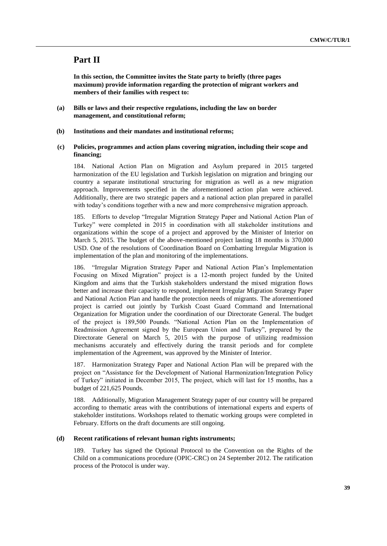# **Part II**

**In this section, the Committee invites the State party to briefly (three pages maximum) provide information regarding the protection of migrant workers and members of their families with respect to:**

- **(a) Bills or laws and their respective regulations, including the law on border management, and constitutional reform;**
- **(b) Institutions and their mandates and institutional reforms;**
- **(c) Policies, programmes and action plans covering migration, including their scope and financing;**

184. National Action Plan on Migration and Asylum prepared in 2015 targeted harmonization of the EU legislation and Turkish legislation on migration and bringing our country a separate institutional structuring for migration as well as a new migration approach. Improvements specified in the aforementioned action plan were achieved. Additionally, there are two strategic papers and a national action plan prepared in parallel with today's conditions together with a new and more comprehensive migration approach.

185. Efforts to develop "Irregular Migration Strategy Paper and National Action Plan of Turkey" were completed in 2015 in coordination with all stakeholder institutions and organizations within the scope of a project and approved by the Minister of Interior on March 5, 2015. The budget of the above-mentioned project lasting 18 months is 370,000 USD. One of the resolutions of Coordination Board on Combatting Irregular Migration is implementation of the plan and monitoring of the implementations.

186. "Irregular Migration Strategy Paper and National Action Plan's Implementation Focusing on Mixed Migration" project is a 12-month project funded by the United Kingdom and aims that the Turkish stakeholders understand the mixed migration flows better and increase their capacity to respond, implement Irregular Migration Strategy Paper and National Action Plan and handle the protection needs of migrants. The aforementioned project is carried out jointly by Turkish Coast Guard Command and International Organization for Migration under the coordination of our Directorate General. The budget of the project is 189,500 Pounds. "National Action Plan on the Implementation of Readmission Agreement signed by the European Union and Turkey", prepared by the Directorate General on March 5, 2015 with the purpose of utilizing readmission mechanisms accurately and effectively during the transit periods and for complete implementation of the Agreement, was approved by the Minister of Interior.

187. Harmonization Strategy Paper and National Action Plan will be prepared with the project on "Assistance for the Development of National Harmonization/Integration Policy of Turkey" initiated in December 2015, The project, which will last for 15 months, has a budget of 221,625 Pounds.

188. Additionally, Migration Management Strategy paper of our country will be prepared according to thematic areas with the contributions of international experts and experts of stakeholder institutions. Workshops related to thematic working groups were completed in February. Efforts on the draft documents are still ongoing.

#### **(d) Recent ratifications of relevant human rights instruments;**

189. Turkey has signed the Optional Protocol to the Convention on the Rights of the Child on a communications procedure (OPIC-CRC) on 24 September 2012. The ratification process of the Protocol is under way.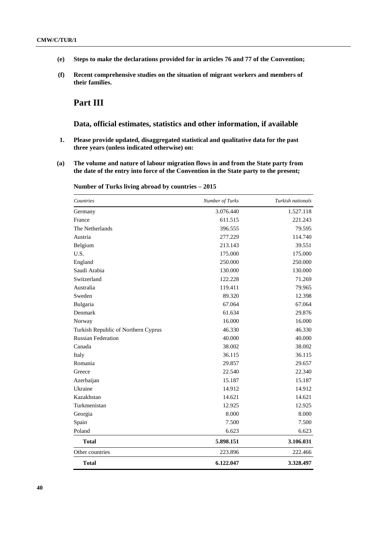- **(e) Steps to make the declarations provided for in articles 76 and 77 of the Convention;**
- **(f) Recent comprehensive studies on the situation of migrant workers and members of their families.**

# **Part III**

# **Data, official estimates, statistics and other information, if available**

- **1. Please provide updated, disaggregated statistical and qualitative data for the past three years (unless indicated otherwise) on:**
- **(a) The volume and nature of labour migration flows in and from the State party from the date of the entry into force of the Convention in the State party to the present;**

| Countries                           | Number of Turks | Turkish nationals |
|-------------------------------------|-----------------|-------------------|
| Germany                             | 3.076.440       | 1.527.118         |
| France                              | 611.515         | 221.243           |
| The Netherlands                     | 396.555         | 79.595            |
| Austria                             | 277.229         | 114.740           |
| Belgium                             | 213.143         | 39.551            |
| U.S.                                | 175.000         | 175.000           |
| England                             | 250.000         | 250.000           |
| Saudi Arabia                        | 130.000         | 130.000           |
| Switzerland                         | 122.228         | 71.269            |
| Australia                           | 119.411         | 79.965            |
| Sweden                              | 89.320          | 12.398            |
| Bulgaria                            | 67.064          | 67.064            |
| Denmark                             | 61.634          | 29.876            |
| Norway                              | 16.000          | 16.000            |
| Turkish Republic of Northern Cyprus | 46.330          | 46.330            |
| <b>Russian Federation</b>           | 40.000          | 40.000            |
| Canada                              | 38.002          | 38.002            |
| Italy                               | 36.115          | 36.115            |
| Romania                             | 29.857          | 29.657            |
| Greece                              | 22.540          | 22.340            |
| Azerbaijan                          | 15.187          | 15.187            |
| Ukraine                             | 14.912          | 14.912            |
| Kazakhstan                          | 14.621          | 14.621            |
| Turkmenistan                        | 12.925          | 12.925            |
| Georgia                             | 8.000           | 8.000             |
| Spain                               | 7.500           | 7.500             |
| Poland                              | 6.623           | 6.623             |
| <b>Total</b>                        | 5.898.151       | 3.106.031         |
| Other countries                     | 223.896         | 222.466           |
| <b>Total</b>                        | 6.122.047       | 3.328.497         |

**Number of Turks living abroad by countries – 2015**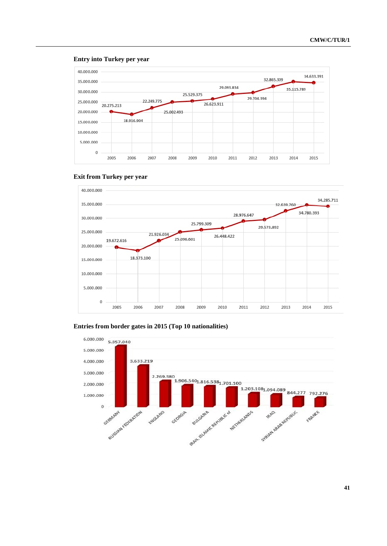

#### **Entry into Turkey per year**

# **Exit from Turkey per year**



# **Entries from border gates in 2015 (Top 10 nationalities)**

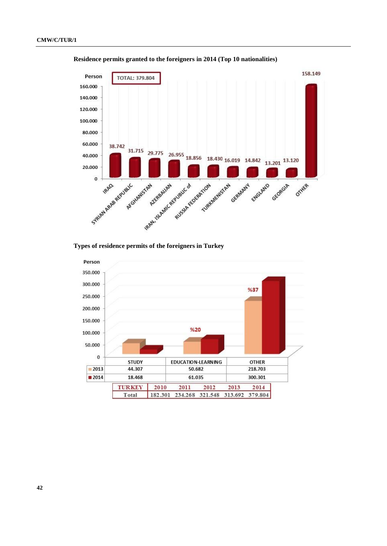

**Residence permits granted to the foreigners in 2014 (Top 10 nationalities)**

# **Types of residence permits of the foreigners in Turkey**

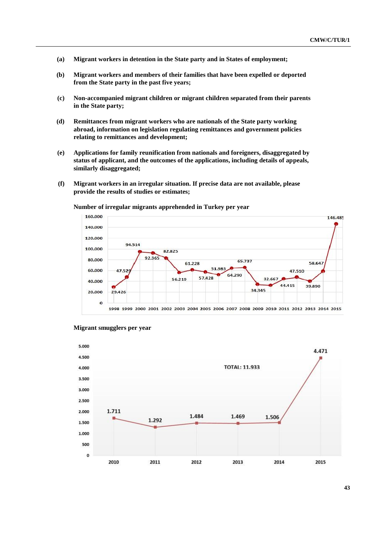- **(a) Migrant workers in detention in the State party and in States of employment;**
- **(b) Migrant workers and members of their families that have been expelled or deported from the State party in the past five years;**
- **(c) Non-accompanied migrant children or migrant children separated from their parents in the State party;**
- **(d) Remittances from migrant workers who are nationals of the State party working abroad, information on legislation regulating remittances and government policies relating to remittances and development;**
- **(e) Applications for family reunification from nationals and foreigners, disaggregated by status of applicant, and the outcomes of the applications, including details of appeals, similarly disaggregated;**
- **(f) Migrant workers in an irregular situation. If precise data are not available, please provide the results of studies or estimates;**

**Number of irregular migrants apprehended in Turkey per year**





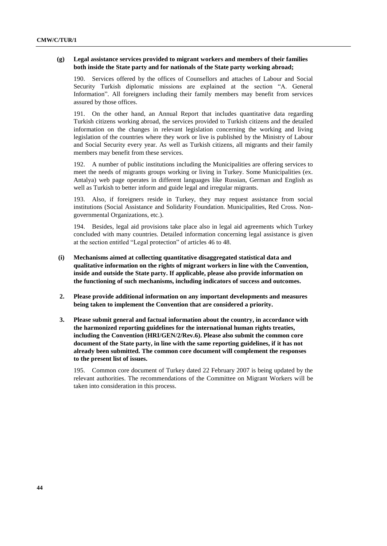### **(g) Legal assistance services provided to migrant workers and members of their families both inside the State party and for nationals of the State party working abroad;**

190. Services offered by the offices of Counsellors and attaches of Labour and Social Security Turkish diplomatic missions are explained at the section "A. General Information". All foreigners including their family members may benefit from services assured by those offices.

191. On the other hand, an Annual Report that includes quantitative data regarding Turkish citizens working abroad, the services provided to Turkish citizens and the detailed information on the changes in relevant legislation concerning the working and living legislation of the countries where they work or live is published by the Ministry of Labour and Social Security every year. As well as Turkish citizens, all migrants and their family members may benefit from these services.

192. A number of public institutions including the Municipalities are offering services to meet the needs of migrants groups working or living in Turkey. Some Municipalities (ex. Antalya) web page operates in different languages like Russian, German and English as well as Turkish to better inform and guide legal and irregular migrants.

193. Also, if foreigners reside in Turkey, they may request assistance from social institutions (Social Assistance and Solidarity Foundation. Municipalities, Red Cross. Nongovernmental Organizations, etc.).

194. Besides, legal aid provisions take place also in legal aid agreements which Turkey concluded with many countries. Detailed information concerning legal assistance is given at the section entitled "Legal protection" of articles 46 to 48.

- **(i) Mechanisms aimed at collecting quantitative disaggregated statistical data and qualitative information on the rights of migrant workers in line with the Convention, inside and outside the State party. If applicable, please also provide information on the functioning of such mechanisms, including indicators of success and outcomes.**
- **2. Please provide additional information on any important developments and measures being taken to implement the Convention that are considered a priority.**
- **3. Please submit general and factual information about the country, in accordance with the harmonized reporting guidelines for the international human rights treaties, including the Convention (HRI/GEN/2/Rev.6). Please also submit the common core document of the State party, in line with the same reporting guidelines, if it has not already been submitted. The common core document will complement the responses to the present list of issues.**

195. Common core document of Turkey dated 22 February 2007 is being updated by the relevant authorities. The recommendations of the Committee on Migrant Workers will be taken into consideration in this process.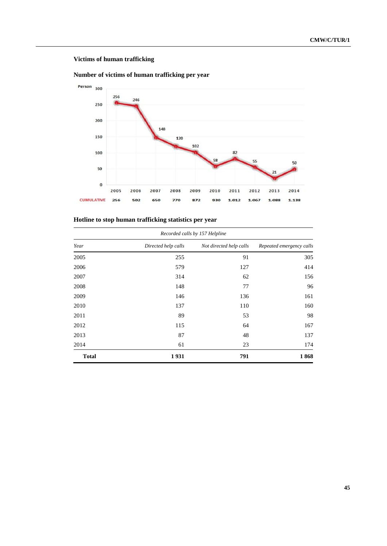# **Victims of human trafficking**





# **Hotline to stop human trafficking statistics per year**

| Recorded calls by 157 Helpline |                     |                         |                          |  |
|--------------------------------|---------------------|-------------------------|--------------------------|--|
| Year                           | Directed help calls | Not directed help calls | Repeated emergency calls |  |
| 2005                           | 255                 | 91                      | 305                      |  |
| 2006                           | 579                 | 127                     | 414                      |  |
| 2007                           | 314                 | 62                      | 156                      |  |
| 2008                           | 148                 | 77                      | 96                       |  |
| 2009                           | 146                 | 136                     | 161                      |  |
| 2010                           | 137                 | 110                     | 160                      |  |
| 2011                           | 89                  | 53                      | 98                       |  |
| 2012                           | 115                 | 64                      | 167                      |  |
| 2013                           | 87                  | 48                      | 137                      |  |
| 2014                           | 61                  | 23                      | 174                      |  |
| <b>Total</b>                   | 1931                | 791                     | 1868                     |  |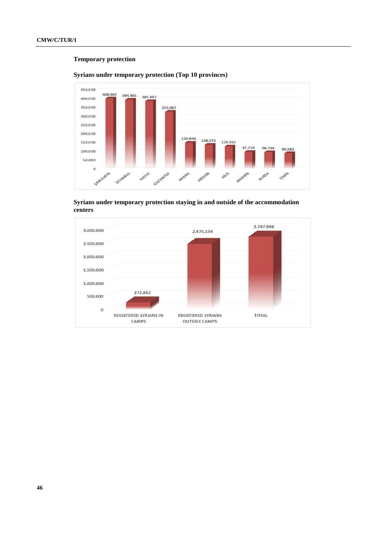# **Temporary protection**



# **Syrians under temporary protection (Top 10 provinces)**

**Syrians under temporary protection staying in and outside of the accommodation centers**

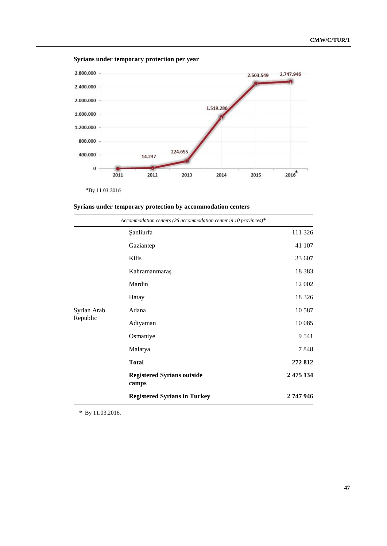



\*By 11.03.2016

|  |  |  | Syrians under temporary protection by accommodation centers |  |
|--|--|--|-------------------------------------------------------------|--|
|  |  |  |                                                             |  |

|             | Accommodation centers (26 accommodation center in 10 provinces)* |           |
|-------------|------------------------------------------------------------------|-----------|
|             | <b>Sanliurfa</b>                                                 | 111 326   |
|             | Gaziantep                                                        | 41 107    |
|             | Kilis                                                            | 33 607    |
|             | Kahramanmaraş                                                    | 18 3 8 3  |
|             | Mardin                                                           | 12 002    |
|             | Hatay                                                            | 18 3 26   |
| Syrian Arab | Adana                                                            | 10 5 87   |
| Republic    | Adiyaman                                                         | 10 0 85   |
|             | Osmaniye                                                         | 9 5 4 1   |
|             | Malatya                                                          | 7848      |
|             | <b>Total</b>                                                     | 272 812   |
|             | <b>Registered Syrians outside</b><br>camps                       | 2 475 134 |
|             | <b>Registered Syrians in Turkey</b>                              | 2 747 946 |

\* By 11.03.2016.